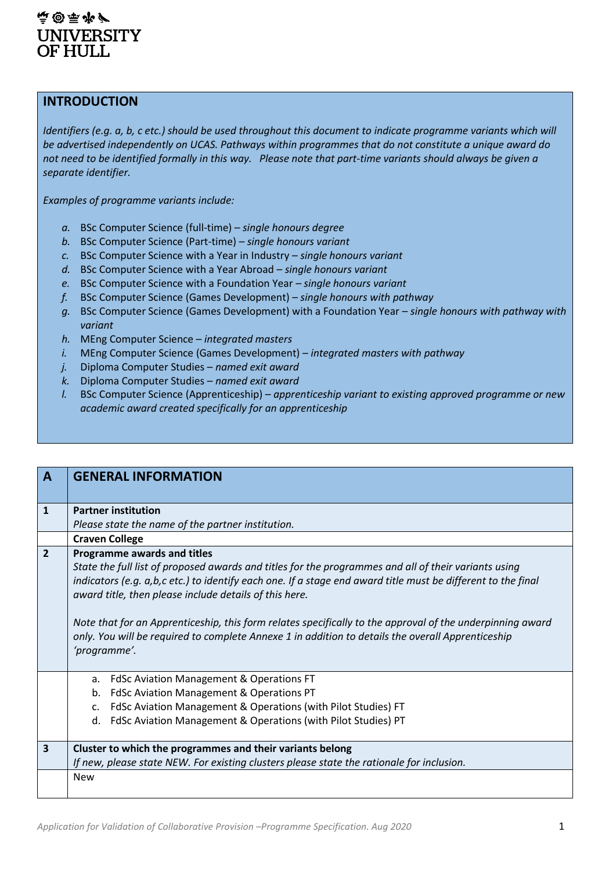#### 空窗空水 **UNIVERSITY** OF HULL

#### **INTRODUCTION**

*Identifiers (e.g. a, b, c etc.) should be used throughout this document to indicate programme variants which will be advertised independently on UCAS. Pathways within programmes that do not constitute a unique award do not need to be identified formally in this way. Please note that part-time variants should always be given a separate identifier.*

*Examples of programme variants include:*

- *a.* BSc Computer Science (full-time) *single honours degree*
- *b.* BSc Computer Science (Part-time) *single honours variant*
- *c.* BSc Computer Science with a Year in Industry *– single honours variant*
- *d.* BSc Computer Science with a Year Abroad *– single honours variant*
- *e.* BSc Computer Science with a Foundation Year *– single honours variant*
- *f.* BSc Computer Science (Games Development) *single honours with pathway*
- *g.* BSc Computer Science (Games Development) with a Foundation Year *single honours with pathway with variant*
- *h.* MEng Computer Science *integrated masters*
- *i.* MEng Computer Science (Games Development) *integrated masters with pathway*
- *j.* Diploma Computer Studies *named exit award*
- *k.* Diploma Computer Studies *named exit award*
- *l.* BSc Computer Science (Apprenticeship) *apprenticeship variant to existing approved programme or new academic award created specifically for an apprenticeship*

| $\mathbf{A}$   | <b>GENERAL INFORMATION</b>                                                                                                                                                                                                                                                                                                                                                                                                                                                                                                                      |
|----------------|-------------------------------------------------------------------------------------------------------------------------------------------------------------------------------------------------------------------------------------------------------------------------------------------------------------------------------------------------------------------------------------------------------------------------------------------------------------------------------------------------------------------------------------------------|
| $\mathbf{1}$   | <b>Partner institution</b>                                                                                                                                                                                                                                                                                                                                                                                                                                                                                                                      |
|                | Please state the name of the partner institution.                                                                                                                                                                                                                                                                                                                                                                                                                                                                                               |
|                | <b>Craven College</b>                                                                                                                                                                                                                                                                                                                                                                                                                                                                                                                           |
| $\overline{2}$ | Programme awards and titles<br>State the full list of proposed awards and titles for the programmes and all of their variants using<br>indicators (e.g. a,b,c etc.) to identify each one. If a stage end award title must be different to the final<br>award title, then please include details of this here.<br>Note that for an Apprenticeship, this form relates specifically to the approval of the underpinning award<br>only. You will be required to complete Annexe 1 in addition to details the overall Apprenticeship<br>'programme'. |
|                | FdSc Aviation Management & Operations FT<br>a.                                                                                                                                                                                                                                                                                                                                                                                                                                                                                                  |
|                | FdSc Aviation Management & Operations PT<br>b.                                                                                                                                                                                                                                                                                                                                                                                                                                                                                                  |
|                | FdSc Aviation Management & Operations (with Pilot Studies) FT<br>c.                                                                                                                                                                                                                                                                                                                                                                                                                                                                             |
|                | FdSc Aviation Management & Operations (with Pilot Studies) PT<br>d.                                                                                                                                                                                                                                                                                                                                                                                                                                                                             |
| 3              | Cluster to which the programmes and their variants belong                                                                                                                                                                                                                                                                                                                                                                                                                                                                                       |
|                | If new, please state NEW. For existing clusters please state the rationale for inclusion.                                                                                                                                                                                                                                                                                                                                                                                                                                                       |
|                | <b>New</b>                                                                                                                                                                                                                                                                                                                                                                                                                                                                                                                                      |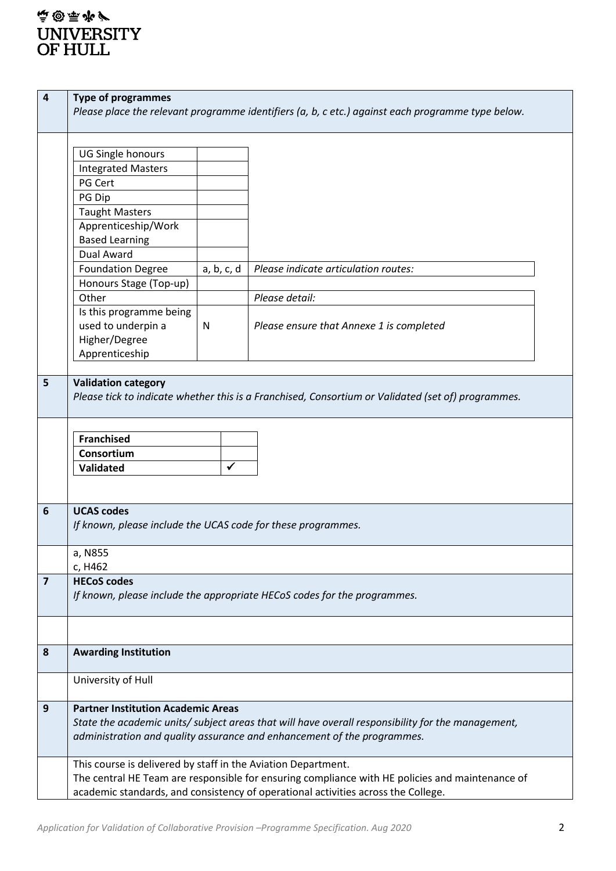| 4                       | <b>Type of programmes</b>                                                |              | Please place the relevant programme identifiers (a, b, c etc.) against each programme type below.  |  |
|-------------------------|--------------------------------------------------------------------------|--------------|----------------------------------------------------------------------------------------------------|--|
|                         |                                                                          |              |                                                                                                    |  |
|                         | UG Single honours                                                        |              |                                                                                                    |  |
|                         | <b>Integrated Masters</b>                                                |              |                                                                                                    |  |
|                         | PG Cert                                                                  |              |                                                                                                    |  |
|                         | PG Dip                                                                   |              |                                                                                                    |  |
|                         | <b>Taught Masters</b>                                                    |              |                                                                                                    |  |
|                         | Apprenticeship/Work                                                      |              |                                                                                                    |  |
|                         | <b>Based Learning</b>                                                    |              |                                                                                                    |  |
|                         | <b>Dual Award</b>                                                        |              |                                                                                                    |  |
|                         | <b>Foundation Degree</b>                                                 | a, b, c, d   | Please indicate articulation routes:                                                               |  |
|                         | Honours Stage (Top-up)                                                   |              |                                                                                                    |  |
|                         | Other                                                                    |              | Please detail:                                                                                     |  |
|                         | Is this programme being                                                  |              |                                                                                                    |  |
|                         | used to underpin a                                                       | N            | Please ensure that Annexe 1 is completed                                                           |  |
|                         | Higher/Degree                                                            |              |                                                                                                    |  |
|                         | Apprenticeship                                                           |              |                                                                                                    |  |
|                         |                                                                          |              |                                                                                                    |  |
| 5                       | <b>Validation category</b>                                               |              |                                                                                                    |  |
|                         |                                                                          |              | Please tick to indicate whether this is a Franchised, Consortium or Validated (set of) programmes. |  |
|                         |                                                                          |              |                                                                                                    |  |
|                         | <b>Franchised</b>                                                        |              |                                                                                                    |  |
|                         | Consortium                                                               |              |                                                                                                    |  |
|                         | Validated                                                                | $\checkmark$ |                                                                                                    |  |
|                         |                                                                          |              |                                                                                                    |  |
|                         |                                                                          |              |                                                                                                    |  |
| 6                       | <b>UCAS codes</b>                                                        |              |                                                                                                    |  |
|                         | If known, please include the UCAS code for these programmes.             |              |                                                                                                    |  |
|                         |                                                                          |              |                                                                                                    |  |
|                         | a, N855                                                                  |              |                                                                                                    |  |
|                         | c, H462                                                                  |              |                                                                                                    |  |
| $\overline{\mathbf{z}}$ | <b>HECoS codes</b>                                                       |              |                                                                                                    |  |
|                         | If known, please include the appropriate HECoS codes for the programmes. |              |                                                                                                    |  |
|                         |                                                                          |              |                                                                                                    |  |
|                         |                                                                          |              |                                                                                                    |  |
|                         |                                                                          |              |                                                                                                    |  |
|                         |                                                                          |              |                                                                                                    |  |
| 8                       | <b>Awarding Institution</b>                                              |              |                                                                                                    |  |
|                         |                                                                          |              |                                                                                                    |  |
|                         | University of Hull                                                       |              |                                                                                                    |  |
|                         |                                                                          |              |                                                                                                    |  |
| 9                       | <b>Partner Institution Academic Areas</b>                                |              |                                                                                                    |  |
|                         |                                                                          |              | State the academic units/ subject areas that will have overall responsibility for the management,  |  |
|                         |                                                                          |              | administration and quality assurance and enhancement of the programmes.                            |  |
|                         | This course is delivered by staff in the Aviation Department.            |              |                                                                                                    |  |
|                         |                                                                          |              | The central HE Team are responsible for ensuring compliance with HE policies and maintenance of    |  |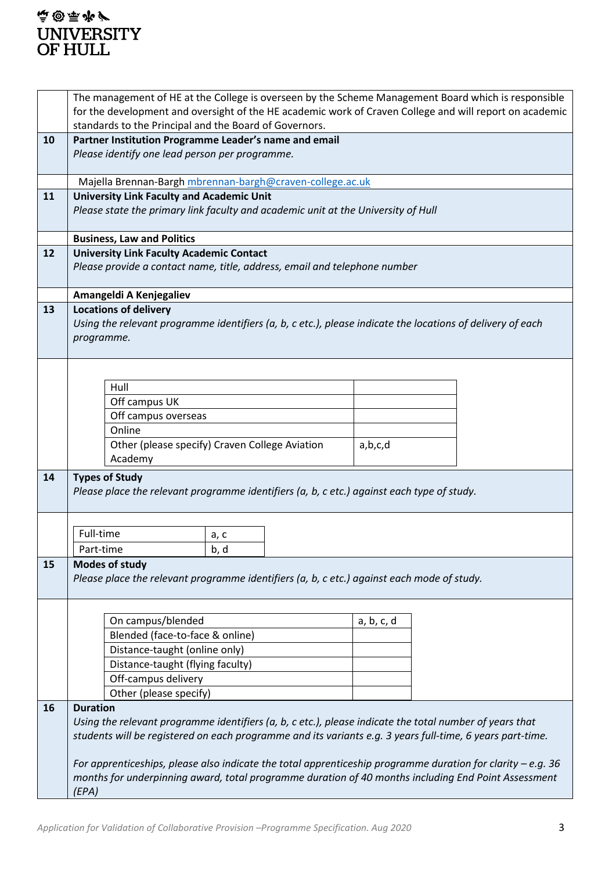## **高国雨罗** UNIVERSITY<br>OF HULL

|    | The management of HE at the College is overseen by the Scheme Management Board which is responsible          |  |            |  |
|----|--------------------------------------------------------------------------------------------------------------|--|------------|--|
|    | for the development and oversight of the HE academic work of Craven College and will report on academic      |  |            |  |
|    | standards to the Principal and the Board of Governors.                                                       |  |            |  |
| 10 | Partner Institution Programme Leader's name and email                                                        |  |            |  |
|    | Please identify one lead person per programme.                                                               |  |            |  |
|    |                                                                                                              |  |            |  |
|    | Majella Brennan-Bargh mbrennan-bargh@craven-college.ac.uk                                                    |  |            |  |
| 11 | <b>University Link Faculty and Academic Unit</b>                                                             |  |            |  |
|    | Please state the primary link faculty and academic unit at the University of Hull                            |  |            |  |
|    | <b>Business, Law and Politics</b>                                                                            |  |            |  |
| 12 | <b>University Link Faculty Academic Contact</b>                                                              |  |            |  |
|    | Please provide a contact name, title, address, email and telephone number                                    |  |            |  |
|    |                                                                                                              |  |            |  |
|    | Amangeldi A Kenjegaliev                                                                                      |  |            |  |
| 13 | <b>Locations of delivery</b>                                                                                 |  |            |  |
|    | Using the relevant programme identifiers (a, b, c etc.), please indicate the locations of delivery of each   |  |            |  |
|    | programme.                                                                                                   |  |            |  |
|    |                                                                                                              |  |            |  |
|    |                                                                                                              |  |            |  |
|    | Hull                                                                                                         |  |            |  |
|    | Off campus UK                                                                                                |  |            |  |
|    | Off campus overseas                                                                                          |  |            |  |
|    | Online                                                                                                       |  |            |  |
|    | Other (please specify) Craven College Aviation                                                               |  | a,b,c,d    |  |
|    | Academy                                                                                                      |  |            |  |
| 14 | <b>Types of Study</b>                                                                                        |  |            |  |
|    | Please place the relevant programme identifiers (a, b, c etc.) against each type of study.                   |  |            |  |
|    |                                                                                                              |  |            |  |
|    |                                                                                                              |  |            |  |
|    | Full-time<br>a, c                                                                                            |  |            |  |
|    | Part-time<br>b, d                                                                                            |  |            |  |
| 15 | <b>Modes of study</b>                                                                                        |  |            |  |
|    | Please place the relevant programme identifiers (a, b, c etc.) against each mode of study.                   |  |            |  |
|    |                                                                                                              |  |            |  |
|    | On campus/blended                                                                                            |  | a, b, c, d |  |
|    | Blended (face-to-face & online)                                                                              |  |            |  |
|    | Distance-taught (online only)                                                                                |  |            |  |
|    | Distance-taught (flying faculty)                                                                             |  |            |  |
|    | Off-campus delivery                                                                                          |  |            |  |
|    | Other (please specify)                                                                                       |  |            |  |
| 16 | <b>Duration</b>                                                                                              |  |            |  |
|    | Using the relevant programme identifiers (a, b, c etc.), please indicate the total number of years that      |  |            |  |
|    | students will be registered on each programme and its variants e.g. 3 years full-time, 6 years part-time.    |  |            |  |
|    |                                                                                                              |  |            |  |
|    | For apprenticeships, please also indicate the total apprenticeship programme duration for clarity $-e.g. 36$ |  |            |  |
|    | months for underpinning award, total programme duration of 40 months including End Point Assessment          |  |            |  |
|    | (EPA)                                                                                                        |  |            |  |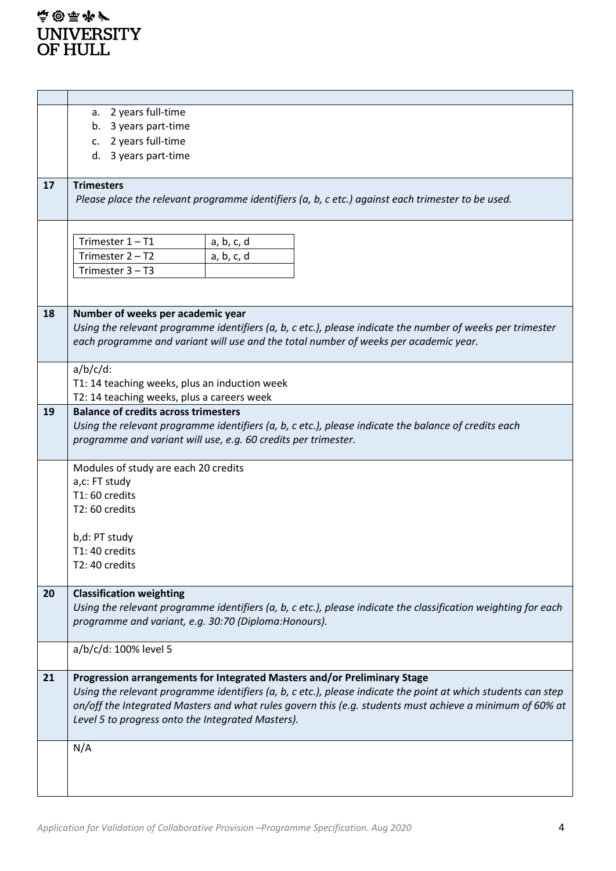|    | a. 2 years full-time                                                                                           |  |  |  |  |  |
|----|----------------------------------------------------------------------------------------------------------------|--|--|--|--|--|
|    | 3 years part-time<br>b.                                                                                        |  |  |  |  |  |
|    | c. 2 years full-time                                                                                           |  |  |  |  |  |
|    | d. 3 years part-time                                                                                           |  |  |  |  |  |
|    |                                                                                                                |  |  |  |  |  |
| 17 | <b>Trimesters</b>                                                                                              |  |  |  |  |  |
|    | Please place the relevant programme identifiers (a, b, c etc.) against each trimester to be used.              |  |  |  |  |  |
|    |                                                                                                                |  |  |  |  |  |
|    |                                                                                                                |  |  |  |  |  |
|    | Trimester $1 - T1$<br>a, b, c, d                                                                               |  |  |  |  |  |
|    | Trimester 2 - T2<br>a, b, c, d                                                                                 |  |  |  |  |  |
|    | Trimester $3 - T3$                                                                                             |  |  |  |  |  |
|    |                                                                                                                |  |  |  |  |  |
|    |                                                                                                                |  |  |  |  |  |
| 18 | Number of weeks per academic year                                                                              |  |  |  |  |  |
|    | Using the relevant programme identifiers (a, b, c etc.), please indicate the number of weeks per trimester     |  |  |  |  |  |
|    | each programme and variant will use and the total number of weeks per academic year.                           |  |  |  |  |  |
|    |                                                                                                                |  |  |  |  |  |
|    | $a/b/c/d$ :                                                                                                    |  |  |  |  |  |
|    | T1: 14 teaching weeks, plus an induction week                                                                  |  |  |  |  |  |
|    | T2: 14 teaching weeks, plus a careers week                                                                     |  |  |  |  |  |
| 19 | <b>Balance of credits across trimesters</b>                                                                    |  |  |  |  |  |
|    |                                                                                                                |  |  |  |  |  |
|    | Using the relevant programme identifiers (a, b, c etc.), please indicate the balance of credits each           |  |  |  |  |  |
|    | programme and variant will use, e.g. 60 credits per trimester.                                                 |  |  |  |  |  |
|    | Modules of study are each 20 credits                                                                           |  |  |  |  |  |
|    |                                                                                                                |  |  |  |  |  |
|    | a,c: FT study<br>T1:60 credits                                                                                 |  |  |  |  |  |
|    | T2:60 credits                                                                                                  |  |  |  |  |  |
|    |                                                                                                                |  |  |  |  |  |
|    | b,d: PT study                                                                                                  |  |  |  |  |  |
|    | T1: 40 credits                                                                                                 |  |  |  |  |  |
|    | T2: 40 credits                                                                                                 |  |  |  |  |  |
|    |                                                                                                                |  |  |  |  |  |
| 20 | <b>Classification weighting</b>                                                                                |  |  |  |  |  |
|    | Using the relevant programme identifiers (a, b, c etc.), please indicate the classification weighting for each |  |  |  |  |  |
|    | programme and variant, e.g. 30:70 (Diploma:Honours).                                                           |  |  |  |  |  |
|    |                                                                                                                |  |  |  |  |  |
|    | a/b/c/d: 100% level 5                                                                                          |  |  |  |  |  |
|    |                                                                                                                |  |  |  |  |  |
| 21 | Progression arrangements for Integrated Masters and/or Preliminary Stage                                       |  |  |  |  |  |
|    | Using the relevant programme identifiers (a, b, c etc.), please indicate the point at which students can step  |  |  |  |  |  |
|    | on/off the Integrated Masters and what rules govern this (e.g. students must achieve a minimum of 60% at       |  |  |  |  |  |
|    | Level 5 to progress onto the Integrated Masters).                                                              |  |  |  |  |  |
|    |                                                                                                                |  |  |  |  |  |
|    | N/A                                                                                                            |  |  |  |  |  |
|    |                                                                                                                |  |  |  |  |  |
|    |                                                                                                                |  |  |  |  |  |
|    |                                                                                                                |  |  |  |  |  |
|    |                                                                                                                |  |  |  |  |  |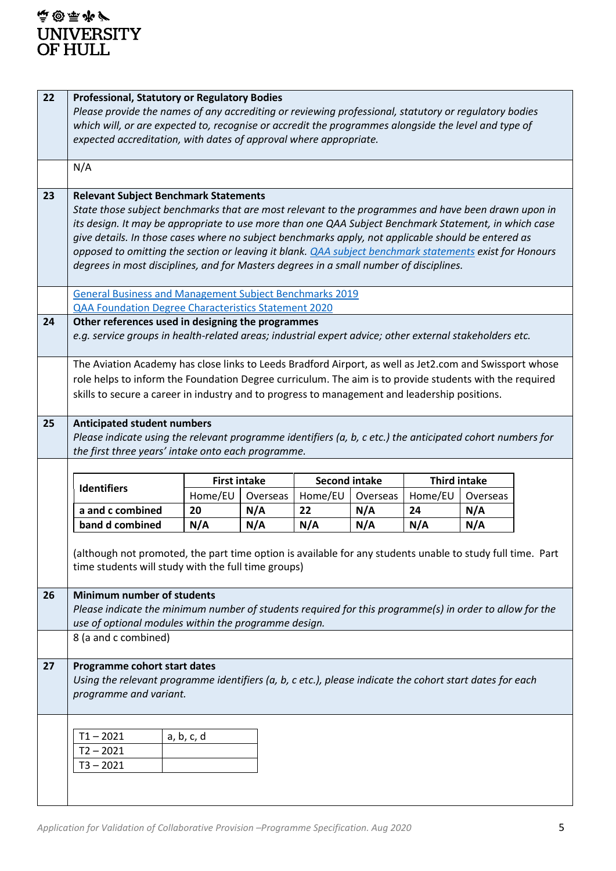| 22 | <b>Professional, Statutory or Regulatory Bodies</b><br>Please provide the names of any accrediting or reviewing professional, statutory or regulatory bodies<br>which will, or are expected to, recognise or accredit the programmes alongside the level and type of<br>expected accreditation, with dates of approval where appropriate. |                     |          |                      |          |                     |          |  |
|----|-------------------------------------------------------------------------------------------------------------------------------------------------------------------------------------------------------------------------------------------------------------------------------------------------------------------------------------------|---------------------|----------|----------------------|----------|---------------------|----------|--|
|    | N/A                                                                                                                                                                                                                                                                                                                                       |                     |          |                      |          |                     |          |  |
|    |                                                                                                                                                                                                                                                                                                                                           |                     |          |                      |          |                     |          |  |
| 23 | <b>Relevant Subject Benchmark Statements</b><br>State those subject benchmarks that are most relevant to the programmes and have been drawn upon in                                                                                                                                                                                       |                     |          |                      |          |                     |          |  |
|    | its design. It may be appropriate to use more than one QAA Subject Benchmark Statement, in which case                                                                                                                                                                                                                                     |                     |          |                      |          |                     |          |  |
|    | give details. In those cases where no subject benchmarks apply, not applicable should be entered as                                                                                                                                                                                                                                       |                     |          |                      |          |                     |          |  |
|    | opposed to omitting the section or leaving it blank. <i>QAA subject benchmark statements exist for Honours</i>                                                                                                                                                                                                                            |                     |          |                      |          |                     |          |  |
|    | degrees in most disciplines, and for Masters degrees in a small number of disciplines.                                                                                                                                                                                                                                                    |                     |          |                      |          |                     |          |  |
|    | <b>General Business and Management Subject Benchmarks 2019</b>                                                                                                                                                                                                                                                                            |                     |          |                      |          |                     |          |  |
|    | <b>QAA Foundation Degree Characteristics Statement 2020</b>                                                                                                                                                                                                                                                                               |                     |          |                      |          |                     |          |  |
| 24 | Other references used in designing the programmes                                                                                                                                                                                                                                                                                         |                     |          |                      |          |                     |          |  |
|    | e.g. service groups in health-related areas; industrial expert advice; other external stakeholders etc.                                                                                                                                                                                                                                   |                     |          |                      |          |                     |          |  |
|    | The Aviation Academy has close links to Leeds Bradford Airport, as well as Jet2.com and Swissport whose                                                                                                                                                                                                                                   |                     |          |                      |          |                     |          |  |
|    | role helps to inform the Foundation Degree curriculum. The aim is to provide students with the required                                                                                                                                                                                                                                   |                     |          |                      |          |                     |          |  |
|    | skills to secure a career in industry and to progress to management and leadership positions.                                                                                                                                                                                                                                             |                     |          |                      |          |                     |          |  |
|    |                                                                                                                                                                                                                                                                                                                                           |                     |          |                      |          |                     |          |  |
| 25 | <b>Anticipated student numbers</b>                                                                                                                                                                                                                                                                                                        |                     |          |                      |          |                     |          |  |
|    | Please indicate using the relevant programme identifiers (a, b, c etc.) the anticipated cohort numbers for<br>the first three years' intake onto each programme.                                                                                                                                                                          |                     |          |                      |          |                     |          |  |
|    |                                                                                                                                                                                                                                                                                                                                           |                     |          |                      |          |                     |          |  |
|    |                                                                                                                                                                                                                                                                                                                                           | <b>First intake</b> |          | <b>Second intake</b> |          | <b>Third intake</b> |          |  |
|    | <b>Identifiers</b>                                                                                                                                                                                                                                                                                                                        | Home/EU             | Overseas | Home/EU              | Overseas | Home/EU             | Overseas |  |
|    | a and c combined                                                                                                                                                                                                                                                                                                                          | 20                  | N/A      | 22                   | N/A      | 24                  | N/A      |  |
|    | band d combined                                                                                                                                                                                                                                                                                                                           | N/A                 | N/A      | N/A                  | N/A      | N/A                 | N/A      |  |
|    | (although not promoted, the part time option is available for any students unable to study full time. Part                                                                                                                                                                                                                                |                     |          |                      |          |                     |          |  |
|    | time students will study with the full time groups)                                                                                                                                                                                                                                                                                       |                     |          |                      |          |                     |          |  |
|    |                                                                                                                                                                                                                                                                                                                                           |                     |          |                      |          |                     |          |  |
| 26 | <b>Minimum number of students</b>                                                                                                                                                                                                                                                                                                         |                     |          |                      |          |                     |          |  |
|    | Please indicate the minimum number of students required for this programme(s) in order to allow for the                                                                                                                                                                                                                                   |                     |          |                      |          |                     |          |  |
|    | use of optional modules within the programme design.<br>8 (a and c combined)                                                                                                                                                                                                                                                              |                     |          |                      |          |                     |          |  |
|    |                                                                                                                                                                                                                                                                                                                                           |                     |          |                      |          |                     |          |  |
| 27 | Programme cohort start dates                                                                                                                                                                                                                                                                                                              |                     |          |                      |          |                     |          |  |
|    | Using the relevant programme identifiers (a, b, c etc.), please indicate the cohort start dates for each                                                                                                                                                                                                                                  |                     |          |                      |          |                     |          |  |
|    | programme and variant.                                                                                                                                                                                                                                                                                                                    |                     |          |                      |          |                     |          |  |
|    |                                                                                                                                                                                                                                                                                                                                           |                     |          |                      |          |                     |          |  |
|    | $T1 - 2021$                                                                                                                                                                                                                                                                                                                               | a, b, c, d          |          |                      |          |                     |          |  |
|    | $T2 - 2021$                                                                                                                                                                                                                                                                                                                               |                     |          |                      |          |                     |          |  |
|    | $T3 - 2021$                                                                                                                                                                                                                                                                                                                               |                     |          |                      |          |                     |          |  |
|    |                                                                                                                                                                                                                                                                                                                                           |                     |          |                      |          |                     |          |  |
|    |                                                                                                                                                                                                                                                                                                                                           |                     |          |                      |          |                     |          |  |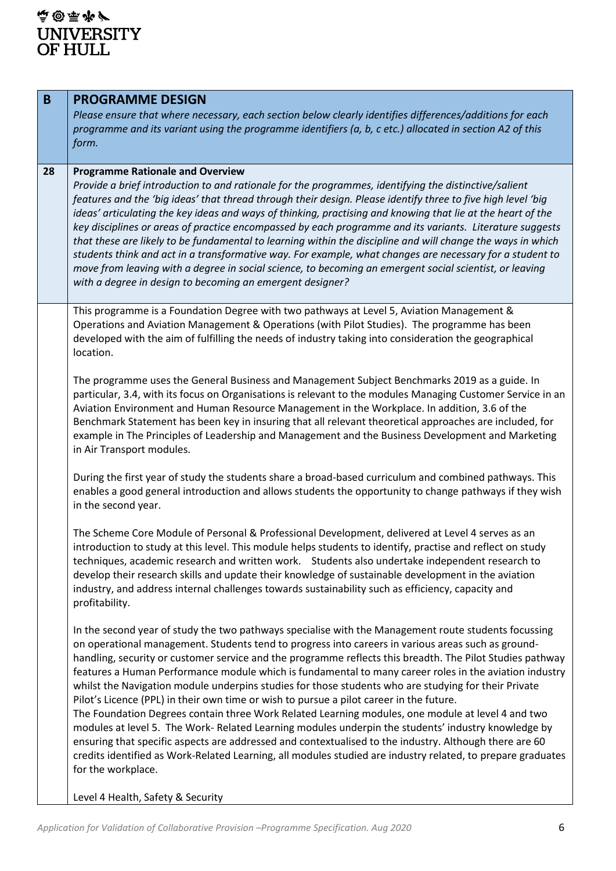| B  | <b>PROGRAMME DESIGN</b><br>Please ensure that where necessary, each section below clearly identifies differences/additions for each<br>programme and its variant using the programme identifiers (a, b, c etc.) allocated in section A2 of this<br>form.                                                                                                                                                                                                                                                                                                                                                                                                                                                                                                                                                                                                                                                                                                                                                                                                                                        |
|----|-------------------------------------------------------------------------------------------------------------------------------------------------------------------------------------------------------------------------------------------------------------------------------------------------------------------------------------------------------------------------------------------------------------------------------------------------------------------------------------------------------------------------------------------------------------------------------------------------------------------------------------------------------------------------------------------------------------------------------------------------------------------------------------------------------------------------------------------------------------------------------------------------------------------------------------------------------------------------------------------------------------------------------------------------------------------------------------------------|
| 28 | <b>Programme Rationale and Overview</b><br>Provide a brief introduction to and rationale for the programmes, identifying the distinctive/salient<br>features and the 'big ideas' that thread through their design. Please identify three to five high level 'big<br>ideas' articulating the key ideas and ways of thinking, practising and knowing that lie at the heart of the<br>key disciplines or areas of practice encompassed by each programme and its variants. Literature suggests<br>that these are likely to be fundamental to learning within the discipline and will change the ways in which<br>students think and act in a transformative way. For example, what changes are necessary for a student to<br>move from leaving with a degree in social science, to becoming an emergent social scientist, or leaving<br>with a degree in design to becoming an emergent designer?                                                                                                                                                                                                  |
|    | This programme is a Foundation Degree with two pathways at Level 5, Aviation Management &<br>Operations and Aviation Management & Operations (with Pilot Studies). The programme has been<br>developed with the aim of fulfilling the needs of industry taking into consideration the geographical<br>location.                                                                                                                                                                                                                                                                                                                                                                                                                                                                                                                                                                                                                                                                                                                                                                                 |
|    | The programme uses the General Business and Management Subject Benchmarks 2019 as a guide. In<br>particular, 3.4, with its focus on Organisations is relevant to the modules Managing Customer Service in an<br>Aviation Environment and Human Resource Management in the Workplace. In addition, 3.6 of the<br>Benchmark Statement has been key in insuring that all relevant theoretical approaches are included, for<br>example in The Principles of Leadership and Management and the Business Development and Marketing<br>in Air Transport modules.                                                                                                                                                                                                                                                                                                                                                                                                                                                                                                                                       |
|    | During the first year of study the students share a broad-based curriculum and combined pathways. This<br>enables a good general introduction and allows students the opportunity to change pathways if they wish<br>in the second year.                                                                                                                                                                                                                                                                                                                                                                                                                                                                                                                                                                                                                                                                                                                                                                                                                                                        |
|    | The Scheme Core Module of Personal & Professional Development, delivered at Level 4 serves as an<br>introduction to study at this level. This module helps students to identify, practise and reflect on study<br>techniques, academic research and written work. Students also undertake independent research to<br>develop their research skills and update their knowledge of sustainable development in the aviation<br>industry, and address internal challenges towards sustainability such as efficiency, capacity and<br>profitability.                                                                                                                                                                                                                                                                                                                                                                                                                                                                                                                                                 |
|    | In the second year of study the two pathways specialise with the Management route students focussing<br>on operational management. Students tend to progress into careers in various areas such as ground-<br>handling, security or customer service and the programme reflects this breadth. The Pilot Studies pathway<br>features a Human Performance module which is fundamental to many career roles in the aviation industry<br>whilst the Navigation module underpins studies for those students who are studying for their Private<br>Pilot's Licence (PPL) in their own time or wish to pursue a pilot career in the future.<br>The Foundation Degrees contain three Work Related Learning modules, one module at level 4 and two<br>modules at level 5. The Work- Related Learning modules underpin the students' industry knowledge by<br>ensuring that specific aspects are addressed and contextualised to the industry. Although there are 60<br>credits identified as Work-Related Learning, all modules studied are industry related, to prepare graduates<br>for the workplace. |
|    | Level 4 Health, Safety & Security                                                                                                                                                                                                                                                                                                                                                                                                                                                                                                                                                                                                                                                                                                                                                                                                                                                                                                                                                                                                                                                               |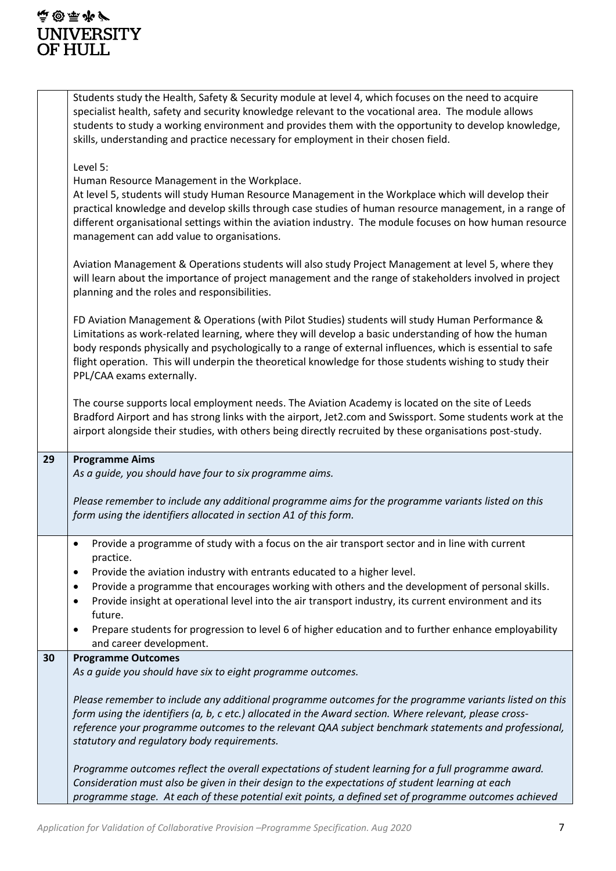|    | Students study the Health, Safety & Security module at level 4, which focuses on the need to acquire<br>specialist health, safety and security knowledge relevant to the vocational area. The module allows<br>students to study a working environment and provides them with the opportunity to develop knowledge,<br>skills, understanding and practice necessary for employment in their chosen field.                                                       |
|----|-----------------------------------------------------------------------------------------------------------------------------------------------------------------------------------------------------------------------------------------------------------------------------------------------------------------------------------------------------------------------------------------------------------------------------------------------------------------|
|    | Level 5:<br>Human Resource Management in the Workplace.<br>At level 5, students will study Human Resource Management in the Workplace which will develop their<br>practical knowledge and develop skills through case studies of human resource management, in a range of<br>different organisational settings within the aviation industry. The module focuses on how human resource<br>management can add value to organisations.                             |
|    | Aviation Management & Operations students will also study Project Management at level 5, where they<br>will learn about the importance of project management and the range of stakeholders involved in project<br>planning and the roles and responsibilities.                                                                                                                                                                                                  |
|    | FD Aviation Management & Operations (with Pilot Studies) students will study Human Performance &<br>Limitations as work-related learning, where they will develop a basic understanding of how the human<br>body responds physically and psychologically to a range of external influences, which is essential to safe<br>flight operation. This will underpin the theoretical knowledge for those students wishing to study their<br>PPL/CAA exams externally. |
|    | The course supports local employment needs. The Aviation Academy is located on the site of Leeds<br>Bradford Airport and has strong links with the airport, Jet2.com and Swissport. Some students work at the<br>airport alongside their studies, with others being directly recruited by these organisations post-study.                                                                                                                                       |
| 29 | <b>Programme Aims</b><br>As a guide, you should have four to six programme aims.<br>Please remember to include any additional programme aims for the programme variants listed on this                                                                                                                                                                                                                                                                          |
|    | form using the identifiers allocated in section A1 of this form.                                                                                                                                                                                                                                                                                                                                                                                                |
|    | Provide a programme of study with a focus on the air transport sector and in line with current<br>٠<br>practice.<br>Provide the aviation industry with entrants educated to a higher level.<br>$\bullet$<br>Provide a programme that encourages working with others and the development of personal skills.<br>Provide insight at operational level into the air transport industry, its current environment and its<br>٠<br>future.                            |
|    | Prepare students for progression to level 6 of higher education and to further enhance employability<br>$\bullet$<br>and career development.                                                                                                                                                                                                                                                                                                                    |
| 30 | <b>Programme Outcomes</b><br>As a guide you should have six to eight programme outcomes.                                                                                                                                                                                                                                                                                                                                                                        |
|    | Please remember to include any additional programme outcomes for the programme variants listed on this<br>form using the identifiers (a, b, c etc.) allocated in the Award section. Where relevant, please cross-<br>reference your programme outcomes to the relevant QAA subject benchmark statements and professional,<br>statutory and regulatory body requirements.                                                                                        |
|    | Programme outcomes reflect the overall expectations of student learning for a full programme award.<br>Consideration must also be given in their design to the expectations of student learning at each<br>programme stage. At each of these potential exit points, a defined set of programme outcomes achieved                                                                                                                                                |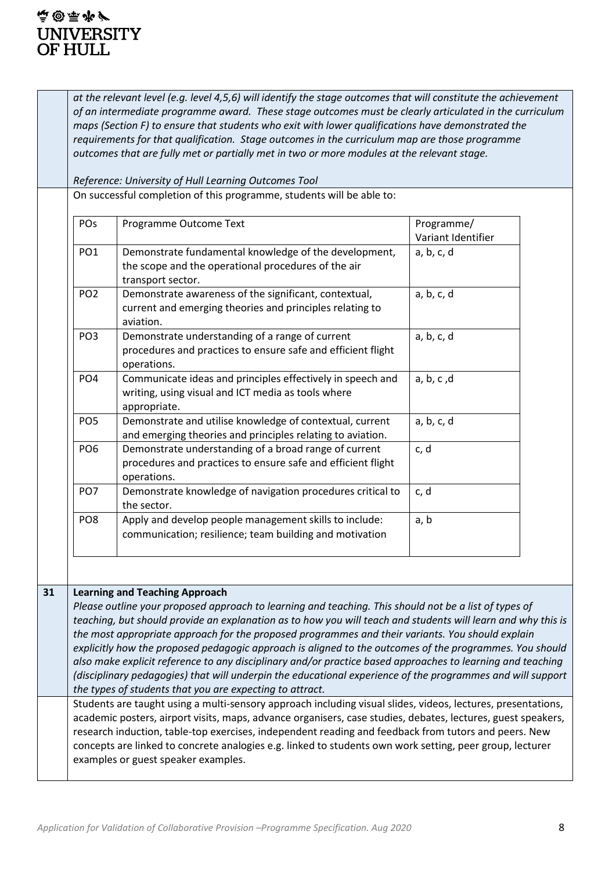### **直國原产 UNIVERSITY** OF HULL.

*at the relevant level (e.g. level 4,5,6) will identify the stage outcomes that will constitute the achievement of an intermediate programme award. These stage outcomes must be clearly articulated in the curriculum maps (Section F) to ensure that students who exit with lower qualifications have demonstrated the requirements for that qualification. Stage outcomes in the curriculum map are those programme outcomes that are fully met or partially met in two or more modules at the relevant stage.*

*Reference: University of Hull Learning Outcomes Tool*

On successful completion of this programme, students will be able to:

| <b>POs</b>      | Programme Outcome Text                                       | Programme/         |
|-----------------|--------------------------------------------------------------|--------------------|
|                 |                                                              | Variant Identifier |
| PO <sub>1</sub> | Demonstrate fundamental knowledge of the development,        | a, b, c, d         |
|                 | the scope and the operational procedures of the air          |                    |
|                 | transport sector.                                            |                    |
| PO <sub>2</sub> | Demonstrate awareness of the significant, contextual,        | a, b, c, d         |
|                 | current and emerging theories and principles relating to     |                    |
|                 | aviation.                                                    |                    |
| PO <sub>3</sub> | Demonstrate understanding of a range of current              | a, b, c, d         |
|                 | procedures and practices to ensure safe and efficient flight |                    |
|                 | operations.                                                  |                    |
| PO <sub>4</sub> | Communicate ideas and principles effectively in speech and   | a, b, c, d         |
|                 | writing, using visual and ICT media as tools where           |                    |
|                 | appropriate.                                                 |                    |
| PO <sub>5</sub> | Demonstrate and utilise knowledge of contextual, current     | a, b, c, d         |
|                 | and emerging theories and principles relating to aviation.   |                    |
| PO <sub>6</sub> | Demonstrate understanding of a broad range of current        | c, d               |
|                 | procedures and practices to ensure safe and efficient flight |                    |
|                 | operations.                                                  |                    |
| PO <sub>7</sub> | Demonstrate knowledge of navigation procedures critical to   | c, d               |
|                 | the sector.                                                  |                    |
| PO <sub>8</sub> | Apply and develop people management skills to include:       | a, b               |
|                 | communication; resilience; team building and motivation      |                    |
|                 |                                                              |                    |

#### **31 Learning and Teaching Approach**

*Please outline your proposed approach to learning and teaching. This should not be a list of types of teaching, but should provide an explanation as to how you will teach and students will learn and why this is the most appropriate approach for the proposed programmes and their variants. You should explain explicitly how the proposed pedagogic approach is aligned to the outcomes of the programmes. You should also make explicit reference to any disciplinary and/or practice based approaches to learning and teaching (disciplinary pedagogies) that will underpin the educational experience of the programmes and will support the types of students that you are expecting to attract.*

Students are taught using a multi-sensory approach including visual slides, videos, lectures, presentations, academic posters, airport visits, maps, advance organisers, case studies, debates, lectures, guest speakers, research induction, table-top exercises, independent reading and feedback from tutors and peers. New concepts are linked to concrete analogies e.g. linked to students own work setting, peer group, lecturer examples or guest speaker examples.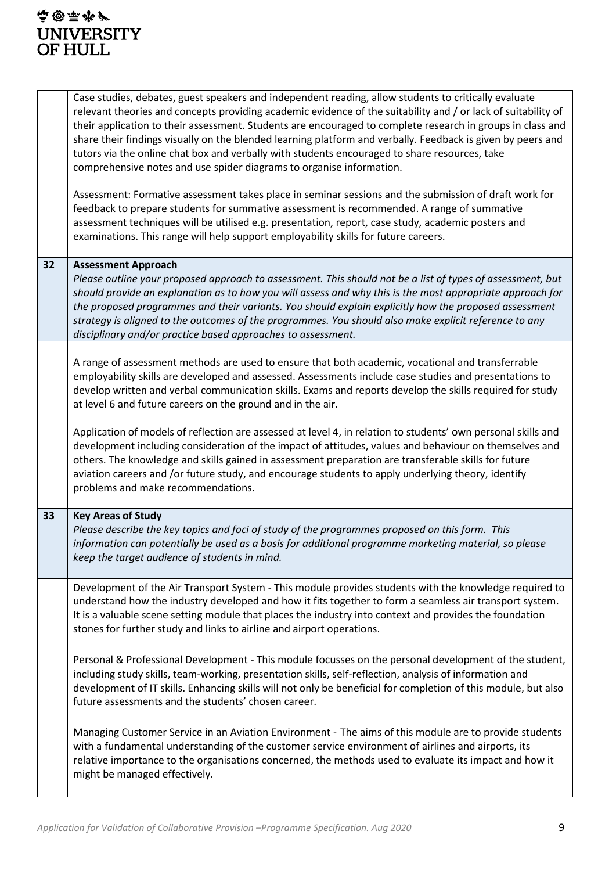|    | Case studies, debates, guest speakers and independent reading, allow students to critically evaluate<br>relevant theories and concepts providing academic evidence of the suitability and / or lack of suitability of<br>their application to their assessment. Students are encouraged to complete research in groups in class and<br>share their findings visually on the blended learning platform and verbally. Feedback is given by peers and<br>tutors via the online chat box and verbally with students encouraged to share resources, take<br>comprehensive notes and use spider diagrams to organise information.<br>Assessment: Formative assessment takes place in seminar sessions and the submission of draft work for<br>feedback to prepare students for summative assessment is recommended. A range of summative<br>assessment techniques will be utilised e.g. presentation, report, case study, academic posters and<br>examinations. This range will help support employability skills for future careers. |
|----|---------------------------------------------------------------------------------------------------------------------------------------------------------------------------------------------------------------------------------------------------------------------------------------------------------------------------------------------------------------------------------------------------------------------------------------------------------------------------------------------------------------------------------------------------------------------------------------------------------------------------------------------------------------------------------------------------------------------------------------------------------------------------------------------------------------------------------------------------------------------------------------------------------------------------------------------------------------------------------------------------------------------------------|
| 32 | <b>Assessment Approach</b><br>Please outline your proposed approach to assessment. This should not be a list of types of assessment, but<br>should provide an explanation as to how you will assess and why this is the most appropriate approach for<br>the proposed programmes and their variants. You should explain explicitly how the proposed assessment<br>strategy is aligned to the outcomes of the programmes. You should also make explicit reference to any<br>disciplinary and/or practice based approaches to assessment.                                                                                                                                                                                                                                                                                                                                                                                                                                                                                         |
|    | A range of assessment methods are used to ensure that both academic, vocational and transferrable<br>employability skills are developed and assessed. Assessments include case studies and presentations to<br>develop written and verbal communication skills. Exams and reports develop the skills required for study<br>at level 6 and future careers on the ground and in the air.<br>Application of models of reflection are assessed at level 4, in relation to students' own personal skills and<br>development including consideration of the impact of attitudes, values and behaviour on themselves and<br>others. The knowledge and skills gained in assessment preparation are transferable skills for future<br>aviation careers and /or future study, and encourage students to apply underlying theory, identify<br>problems and make recommendations.                                                                                                                                                           |
| 33 | <b>Key Areas of Study</b><br>Please describe the key topics and foci of study of the programmes proposed on this form. This<br>information can potentially be used as a basis for additional programme marketing material, so please<br>keep the target audience of students in mind.                                                                                                                                                                                                                                                                                                                                                                                                                                                                                                                                                                                                                                                                                                                                           |
|    | Development of the Air Transport System - This module provides students with the knowledge required to<br>understand how the industry developed and how it fits together to form a seamless air transport system.<br>It is a valuable scene setting module that places the industry into context and provides the foundation<br>stones for further study and links to airline and airport operations.                                                                                                                                                                                                                                                                                                                                                                                                                                                                                                                                                                                                                           |
|    | Personal & Professional Development - This module focusses on the personal development of the student,<br>including study skills, team-working, presentation skills, self-reflection, analysis of information and<br>development of IT skills. Enhancing skills will not only be beneficial for completion of this module, but also<br>future assessments and the students' chosen career.                                                                                                                                                                                                                                                                                                                                                                                                                                                                                                                                                                                                                                      |
|    | Managing Customer Service in an Aviation Environment - The aims of this module are to provide students<br>with a fundamental understanding of the customer service environment of airlines and airports, its<br>relative importance to the organisations concerned, the methods used to evaluate its impact and how it<br>might be managed effectively.                                                                                                                                                                                                                                                                                                                                                                                                                                                                                                                                                                                                                                                                         |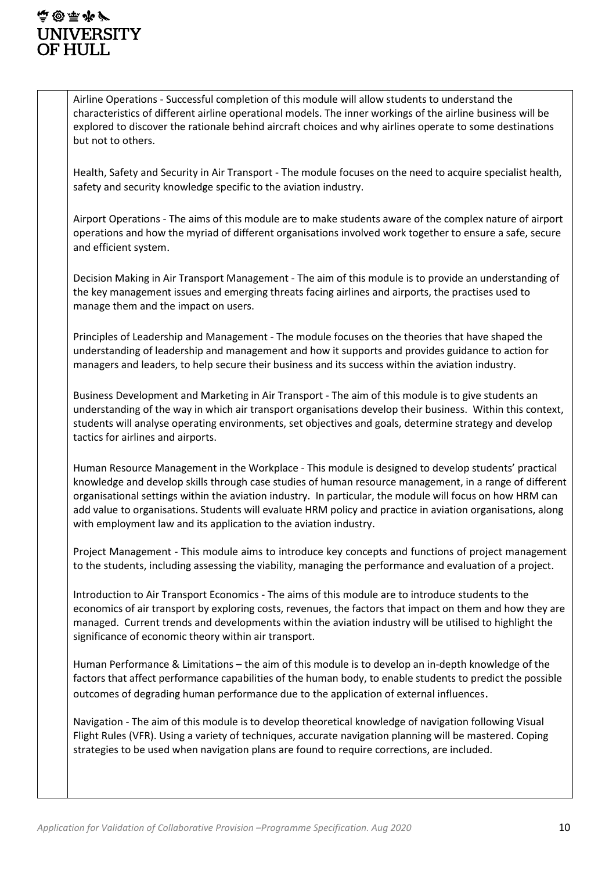### **停留再步户 UNIVERSITY** OF HULL.

Airline Operations - Successful completion of this module will allow students to understand the characteristics of different airline operational models. The inner workings of the airline business will be explored to discover the rationale behind aircraft choices and why airlines operate to some destinations but not to others.

Health, Safety and Security in Air Transport - The module focuses on the need to acquire specialist health, safety and security knowledge specific to the aviation industry.

Airport Operations - The aims of this module are to make students aware of the complex nature of airport operations and how the myriad of different organisations involved work together to ensure a safe, secure and efficient system.

Decision Making in Air Transport Management - The aim of this module is to provide an understanding of the key management issues and emerging threats facing airlines and airports, the practises used to manage them and the impact on users.

Principles of Leadership and Management - The module focuses on the theories that have shaped the understanding of leadership and management and how it supports and provides guidance to action for managers and leaders, to help secure their business and its success within the aviation industry.

Business Development and Marketing in Air Transport - The aim of this module is to give students an understanding of the way in which air transport organisations develop their business. Within this context, students will analyse operating environments, set objectives and goals, determine strategy and develop tactics for airlines and airports.

Human Resource Management in the Workplace - This module is designed to develop students' practical knowledge and develop skills through case studies of human resource management, in a range of different organisational settings within the aviation industry. In particular, the module will focus on how HRM can add value to organisations. Students will evaluate HRM policy and practice in aviation organisations, along with employment law and its application to the aviation industry.

Project Management - This module aims to introduce key concepts and functions of project management to the students, including assessing the viability, managing the performance and evaluation of a project.

Introduction to Air Transport Economics - The aims of this module are to introduce students to the economics of air transport by exploring costs, revenues, the factors that impact on them and how they are managed. Current trends and developments within the aviation industry will be utilised to highlight the significance of economic theory within air transport.

Human Performance & Limitations – the aim of this module is to develop an in-depth knowledge of the factors that affect performance capabilities of the human body, to enable students to predict the possible outcomes of degrading human performance due to the application of external influences.

Navigation - The aim of this module is to develop theoretical knowledge of navigation following Visual Flight Rules (VFR). Using a variety of techniques, accurate navigation planning will be mastered. Coping strategies to be used when navigation plans are found to require corrections, are included.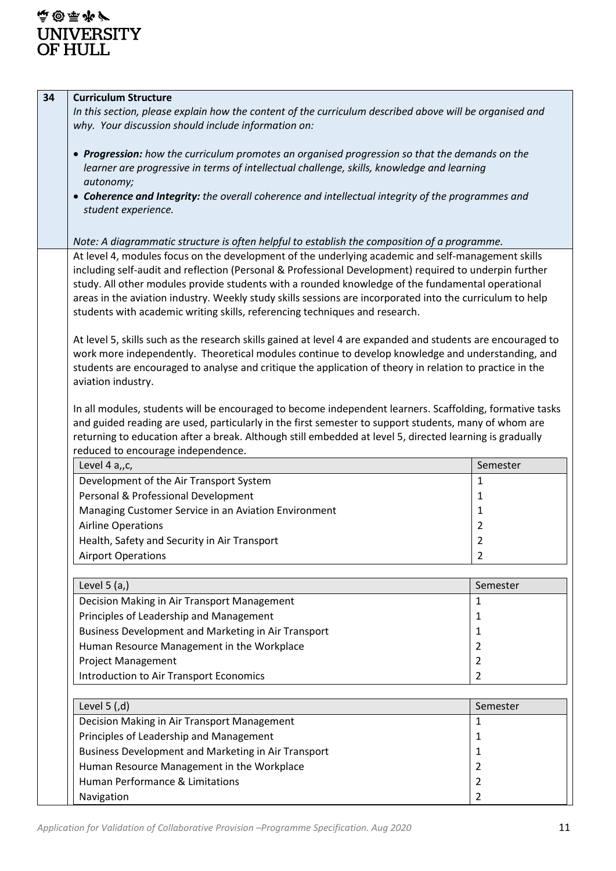| 34 | <b>Curriculum Structure</b>                                                                                  |                |  |  |  |
|----|--------------------------------------------------------------------------------------------------------------|----------------|--|--|--|
|    | In this section, please explain how the content of the curriculum described above will be organised and      |                |  |  |  |
|    | why. Your discussion should include information on:                                                          |                |  |  |  |
|    |                                                                                                              |                |  |  |  |
|    | • Progression: how the curriculum promotes an organised progression so that the demands on the               |                |  |  |  |
|    | learner are progressive in terms of intellectual challenge, skills, knowledge and learning                   |                |  |  |  |
|    | autonomy;                                                                                                    |                |  |  |  |
|    | • Coherence and Integrity: the overall coherence and intellectual integrity of the programmes and            |                |  |  |  |
|    | student experience.                                                                                          |                |  |  |  |
|    |                                                                                                              |                |  |  |  |
|    | Note: A diagrammatic structure is often helpful to establish the composition of a programme.                 |                |  |  |  |
|    |                                                                                                              |                |  |  |  |
|    | At level 4, modules focus on the development of the underlying academic and self-management skills           |                |  |  |  |
|    | including self-audit and reflection (Personal & Professional Development) required to underpin further       |                |  |  |  |
|    | study. All other modules provide students with a rounded knowledge of the fundamental operational            |                |  |  |  |
|    | areas in the aviation industry. Weekly study skills sessions are incorporated into the curriculum to help    |                |  |  |  |
|    | students with academic writing skills, referencing techniques and research.                                  |                |  |  |  |
|    |                                                                                                              |                |  |  |  |
|    | At level 5, skills such as the research skills gained at level 4 are expanded and students are encouraged to |                |  |  |  |
|    | work more independently. Theoretical modules continue to develop knowledge and understanding, and            |                |  |  |  |
|    | students are encouraged to analyse and critique the application of theory in relation to practice in the     |                |  |  |  |
|    | aviation industry.                                                                                           |                |  |  |  |
|    |                                                                                                              |                |  |  |  |
|    | In all modules, students will be encouraged to become independent learners. Scaffolding, formative tasks     |                |  |  |  |
|    | and guided reading are used, particularly in the first semester to support students, many of whom are        |                |  |  |  |
|    | returning to education after a break. Although still embedded at level 5, directed learning is gradually     |                |  |  |  |
|    | reduced to encourage independence.                                                                           |                |  |  |  |
|    | Level 4 a,, c,                                                                                               | Semester       |  |  |  |
|    | Development of the Air Transport System                                                                      | 1              |  |  |  |
|    | Personal & Professional Development                                                                          | 1              |  |  |  |
|    | Managing Customer Service in an Aviation Environment                                                         | 1              |  |  |  |
|    | <b>Airline Operations</b>                                                                                    | $\overline{2}$ |  |  |  |
|    | Health, Safety and Security in Air Transport                                                                 | 2              |  |  |  |
|    |                                                                                                              | 2              |  |  |  |
|    | <b>Airport Operations</b>                                                                                    |                |  |  |  |
|    |                                                                                                              |                |  |  |  |
|    | Level $5(a)$                                                                                                 | Semester       |  |  |  |
|    | Decision Making in Air Transport Management                                                                  | 1              |  |  |  |
|    | Principles of Leadership and Management                                                                      | 1              |  |  |  |
|    | Business Development and Marketing in Air Transport                                                          | 1              |  |  |  |
|    | Human Resource Management in the Workplace                                                                   | 2              |  |  |  |
|    | <b>Project Management</b>                                                                                    | $\overline{2}$ |  |  |  |
|    | <b>Introduction to Air Transport Economics</b>                                                               | $\overline{2}$ |  |  |  |
|    |                                                                                                              |                |  |  |  |
|    | Level $5$ (,d)                                                                                               | Semester       |  |  |  |
|    |                                                                                                              |                |  |  |  |
|    | Decision Making in Air Transport Management                                                                  | 1              |  |  |  |
|    | Principles of Leadership and Management                                                                      | 1              |  |  |  |
|    | Business Development and Marketing in Air Transport                                                          | 1              |  |  |  |
|    | Human Resource Management in the Workplace                                                                   | 2              |  |  |  |
|    | Human Performance & Limitations                                                                              | $\overline{2}$ |  |  |  |
|    | Navigation                                                                                                   | $\overline{2}$ |  |  |  |
|    |                                                                                                              |                |  |  |  |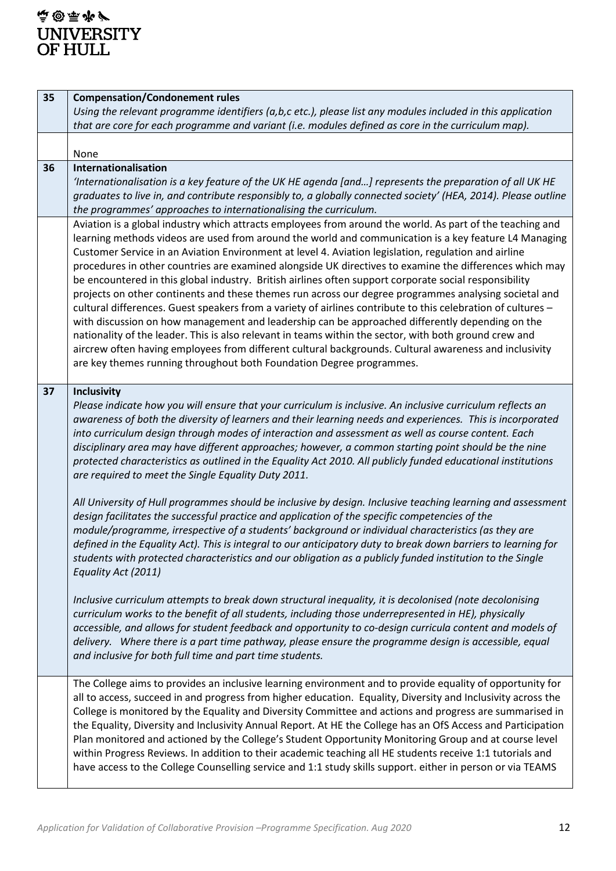# **高国雨罗** UNIVERSITY<br>OF HULL

| 35 | <b>Compensation/Condonement rules</b>                                                                                                                                                                            |
|----|------------------------------------------------------------------------------------------------------------------------------------------------------------------------------------------------------------------|
|    | Using the relevant programme identifiers (a,b,c etc.), please list any modules included in this application                                                                                                      |
|    | that are core for each programme and variant (i.e. modules defined as core in the curriculum map).                                                                                                               |
|    |                                                                                                                                                                                                                  |
|    | None                                                                                                                                                                                                             |
| 36 | Internationalisation                                                                                                                                                                                             |
|    | 'Internationalisation is a key feature of the UK HE agenda [and] represents the preparation of all UK HE                                                                                                         |
|    | graduates to live in, and contribute responsibly to, a globally connected society' (HEA, 2014). Please outline                                                                                                   |
|    | the programmes' approaches to internationalising the curriculum.                                                                                                                                                 |
|    | Aviation is a global industry which attracts employees from around the world. As part of the teaching and                                                                                                        |
|    | learning methods videos are used from around the world and communication is a key feature L4 Managing<br>Customer Service in an Aviation Environment at level 4. Aviation legislation, regulation and airline    |
|    | procedures in other countries are examined alongside UK directives to examine the differences which may                                                                                                          |
|    | be encountered in this global industry. British airlines often support corporate social responsibility                                                                                                           |
|    | projects on other continents and these themes run across our degree programmes analysing societal and                                                                                                            |
|    | cultural differences. Guest speakers from a variety of airlines contribute to this celebration of cultures -                                                                                                     |
|    | with discussion on how management and leadership can be approached differently depending on the                                                                                                                  |
|    | nationality of the leader. This is also relevant in teams within the sector, with both ground crew and                                                                                                           |
|    | aircrew often having employees from different cultural backgrounds. Cultural awareness and inclusivity                                                                                                           |
|    | are key themes running throughout both Foundation Degree programmes.                                                                                                                                             |
|    |                                                                                                                                                                                                                  |
| 37 | <b>Inclusivity</b>                                                                                                                                                                                               |
|    | Please indicate how you will ensure that your curriculum is inclusive. An inclusive curriculum reflects an                                                                                                       |
|    | awareness of both the diversity of learners and their learning needs and experiences. This is incorporated                                                                                                       |
|    | into curriculum design through modes of interaction and assessment as well as course content. Each                                                                                                               |
|    | disciplinary area may have different approaches; however, a common starting point should be the nine                                                                                                             |
|    | protected characteristics as outlined in the Equality Act 2010. All publicly funded educational institutions<br>are required to meet the Single Equality Duty 2011.                                              |
|    |                                                                                                                                                                                                                  |
|    | All University of Hull programmes should be inclusive by design. Inclusive teaching learning and assessment                                                                                                      |
|    | design facilitates the successful practice and application of the specific competencies of the                                                                                                                   |
|    | module/programme, irrespective of a students' background or individual characteristics (as they are                                                                                                              |
|    | defined in the Equality Act). This is integral to our anticipatory duty to break down barriers to learning for                                                                                                   |
|    | students with protected characteristics and our obligation as a publicly funded institution to the Single                                                                                                        |
|    | Equality Act (2011)                                                                                                                                                                                              |
|    |                                                                                                                                                                                                                  |
|    | Inclusive curriculum attempts to break down structural inequality, it is decolonised (note decolonising                                                                                                          |
|    | curriculum works to the benefit of all students, including those underrepresented in HE), physically<br>accessible, and allows for student feedback and opportunity to co-design curricula content and models of |
|    | delivery. Where there is a part time pathway, please ensure the programme design is accessible, equal                                                                                                            |
|    | and inclusive for both full time and part time students.                                                                                                                                                         |
|    |                                                                                                                                                                                                                  |
|    | The College aims to provides an inclusive learning environment and to provide equality of opportunity for                                                                                                        |
|    | all to access, succeed in and progress from higher education. Equality, Diversity and Inclusivity across the                                                                                                     |
|    | College is monitored by the Equality and Diversity Committee and actions and progress are summarised in                                                                                                          |
|    | the Equality, Diversity and Inclusivity Annual Report. At HE the College has an OfS Access and Participation                                                                                                     |
|    | Plan monitored and actioned by the College's Student Opportunity Monitoring Group and at course level                                                                                                            |
|    | within Progress Reviews. In addition to their academic teaching all HE students receive 1:1 tutorials and                                                                                                        |
|    | have access to the College Counselling service and 1:1 study skills support. either in person or via TEAMS                                                                                                       |
|    |                                                                                                                                                                                                                  |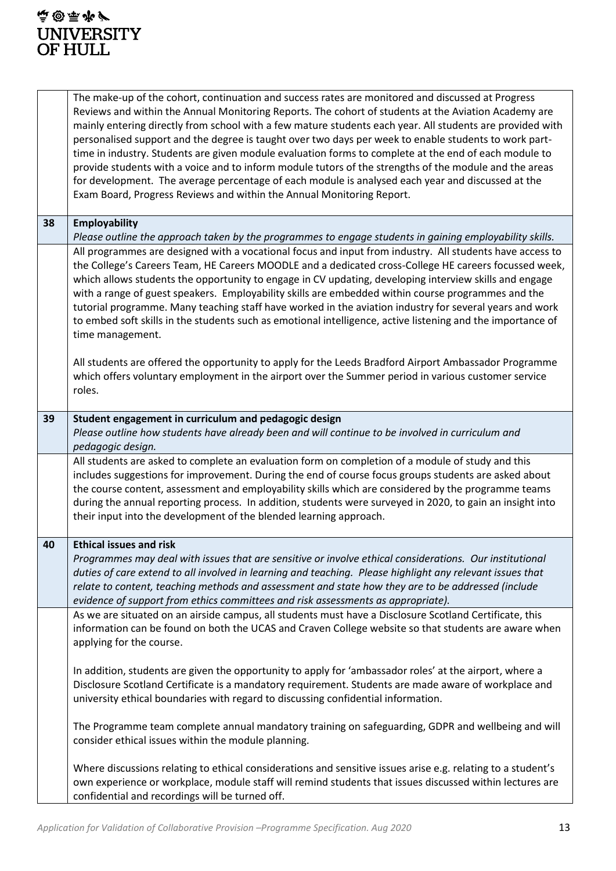### 4@原告 UNIVERSITY<br>OF HULL

|    | The make-up of the cohort, continuation and success rates are monitored and discussed at Progress<br>Reviews and within the Annual Monitoring Reports. The cohort of students at the Aviation Academy are<br>mainly entering directly from school with a few mature students each year. All students are provided with<br>personalised support and the degree is taught over two days per week to enable students to work part-<br>time in industry. Students are given module evaluation forms to complete at the end of each module to<br>provide students with a voice and to inform module tutors of the strengths of the module and the areas<br>for development. The average percentage of each module is analysed each year and discussed at the<br>Exam Board, Progress Reviews and within the Annual Monitoring Report.                                                                |
|----|-------------------------------------------------------------------------------------------------------------------------------------------------------------------------------------------------------------------------------------------------------------------------------------------------------------------------------------------------------------------------------------------------------------------------------------------------------------------------------------------------------------------------------------------------------------------------------------------------------------------------------------------------------------------------------------------------------------------------------------------------------------------------------------------------------------------------------------------------------------------------------------------------|
| 38 | <b>Employability</b><br>Please outline the approach taken by the programmes to engage students in gaining employability skills.                                                                                                                                                                                                                                                                                                                                                                                                                                                                                                                                                                                                                                                                                                                                                                 |
|    | All programmes are designed with a vocational focus and input from industry. All students have access to<br>the College's Careers Team, HE Careers MOODLE and a dedicated cross-College HE careers focussed week,<br>which allows students the opportunity to engage in CV updating, developing interview skills and engage<br>with a range of guest speakers. Employability skills are embedded within course programmes and the<br>tutorial programme. Many teaching staff have worked in the aviation industry for several years and work<br>to embed soft skills in the students such as emotional intelligence, active listening and the importance of<br>time management.<br>All students are offered the opportunity to apply for the Leeds Bradford Airport Ambassador Programme<br>which offers voluntary employment in the airport over the Summer period in various customer service |
|    | roles.                                                                                                                                                                                                                                                                                                                                                                                                                                                                                                                                                                                                                                                                                                                                                                                                                                                                                          |
| 39 | Student engagement in curriculum and pedagogic design<br>Please outline how students have already been and will continue to be involved in curriculum and<br>pedagogic design.                                                                                                                                                                                                                                                                                                                                                                                                                                                                                                                                                                                                                                                                                                                  |
|    | All students are asked to complete an evaluation form on completion of a module of study and this<br>includes suggestions for improvement. During the end of course focus groups students are asked about<br>the course content, assessment and employability skills which are considered by the programme teams<br>during the annual reporting process. In addition, students were surveyed in 2020, to gain an insight into<br>their input into the development of the blended learning approach.                                                                                                                                                                                                                                                                                                                                                                                             |
| 40 | <b>Ethical issues and risk</b><br>Programmes may deal with issues that are sensitive or involve ethical considerations. Our institutional<br>duties of care extend to all involved in learning and teaching. Please highlight any relevant issues that<br>relate to content, teaching methods and assessment and state how they are to be addressed (include<br>evidence of support from ethics committees and risk assessments as appropriate).                                                                                                                                                                                                                                                                                                                                                                                                                                                |
|    | As we are situated on an airside campus, all students must have a Disclosure Scotland Certificate, this<br>information can be found on both the UCAS and Craven College website so that students are aware when<br>applying for the course.                                                                                                                                                                                                                                                                                                                                                                                                                                                                                                                                                                                                                                                     |
|    | In addition, students are given the opportunity to apply for 'ambassador roles' at the airport, where a<br>Disclosure Scotland Certificate is a mandatory requirement. Students are made aware of workplace and<br>university ethical boundaries with regard to discussing confidential information.                                                                                                                                                                                                                                                                                                                                                                                                                                                                                                                                                                                            |
|    | The Programme team complete annual mandatory training on safeguarding, GDPR and wellbeing and will<br>consider ethical issues within the module planning.                                                                                                                                                                                                                                                                                                                                                                                                                                                                                                                                                                                                                                                                                                                                       |
|    | Where discussions relating to ethical considerations and sensitive issues arise e.g. relating to a student's<br>own experience or workplace, module staff will remind students that issues discussed within lectures are<br>confidential and recordings will be turned off.                                                                                                                                                                                                                                                                                                                                                                                                                                                                                                                                                                                                                     |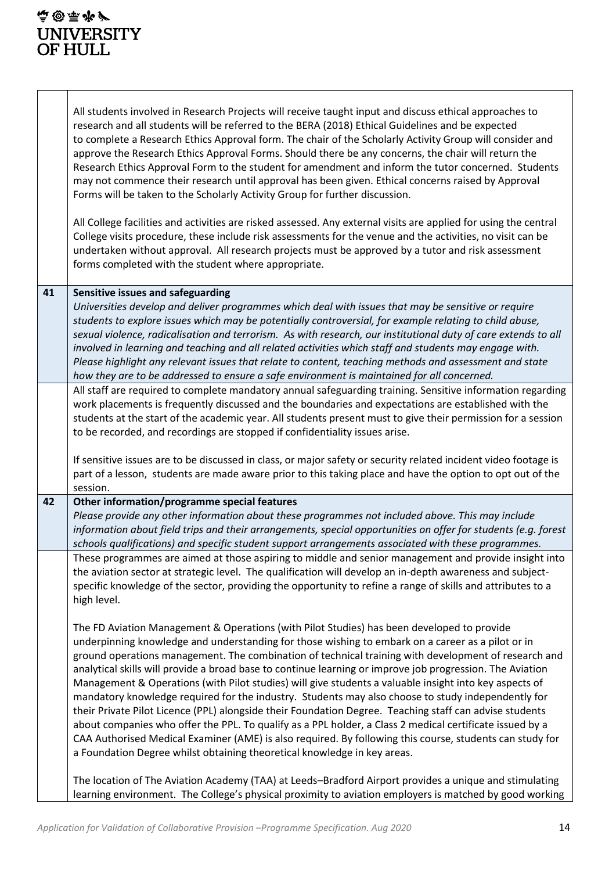### 4@原告 UNIVERSITY<br>OF HULL

|    | All students involved in Research Projects will receive taught input and discuss ethical approaches to<br>research and all students will be referred to the BERA (2018) Ethical Guidelines and be expected<br>to complete a Research Ethics Approval form. The chair of the Scholarly Activity Group will consider and<br>approve the Research Ethics Approval Forms. Should there be any concerns, the chair will return the<br>Research Ethics Approval Form to the student for amendment and inform the tutor concerned. Students<br>may not commence their research until approval has been given. Ethical concerns raised by Approval<br>Forms will be taken to the Scholarly Activity Group for further discussion.                                                                                                                                                                                                                                                                                                                           |
|----|-----------------------------------------------------------------------------------------------------------------------------------------------------------------------------------------------------------------------------------------------------------------------------------------------------------------------------------------------------------------------------------------------------------------------------------------------------------------------------------------------------------------------------------------------------------------------------------------------------------------------------------------------------------------------------------------------------------------------------------------------------------------------------------------------------------------------------------------------------------------------------------------------------------------------------------------------------------------------------------------------------------------------------------------------------|
|    | All College facilities and activities are risked assessed. Any external visits are applied for using the central<br>College visits procedure, these include risk assessments for the venue and the activities, no visit can be<br>undertaken without approval. All research projects must be approved by a tutor and risk assessment<br>forms completed with the student where appropriate.                                                                                                                                                                                                                                                                                                                                                                                                                                                                                                                                                                                                                                                         |
| 41 | Sensitive issues and safeguarding                                                                                                                                                                                                                                                                                                                                                                                                                                                                                                                                                                                                                                                                                                                                                                                                                                                                                                                                                                                                                   |
|    | Universities develop and deliver programmes which deal with issues that may be sensitive or require<br>students to explore issues which may be potentially controversial, for example relating to child abuse,<br>sexual violence, radicalisation and terrorism. As with research, our institutional duty of care extends to all<br>involved in learning and teaching and all related activities which staff and students may engage with.<br>Please highlight any relevant issues that relate to content, teaching methods and assessment and state                                                                                                                                                                                                                                                                                                                                                                                                                                                                                                |
|    | how they are to be addressed to ensure a safe environment is maintained for all concerned.                                                                                                                                                                                                                                                                                                                                                                                                                                                                                                                                                                                                                                                                                                                                                                                                                                                                                                                                                          |
|    | All staff are required to complete mandatory annual safeguarding training. Sensitive information regarding<br>work placements is frequently discussed and the boundaries and expectations are established with the<br>students at the start of the academic year. All students present must to give their permission for a session<br>to be recorded, and recordings are stopped if confidentiality issues arise.                                                                                                                                                                                                                                                                                                                                                                                                                                                                                                                                                                                                                                   |
|    | If sensitive issues are to be discussed in class, or major safety or security related incident video footage is<br>part of a lesson, students are made aware prior to this taking place and have the option to opt out of the<br>session.                                                                                                                                                                                                                                                                                                                                                                                                                                                                                                                                                                                                                                                                                                                                                                                                           |
| 42 | Other information/programme special features                                                                                                                                                                                                                                                                                                                                                                                                                                                                                                                                                                                                                                                                                                                                                                                                                                                                                                                                                                                                        |
|    | Please provide any other information about these programmes not included above. This may include<br>information about field trips and their arrangements, special opportunities on offer for students (e.g. forest<br>schools qualifications) and specific student support arrangements associated with these programmes.                                                                                                                                                                                                                                                                                                                                                                                                                                                                                                                                                                                                                                                                                                                           |
|    | These programmes are aimed at those aspiring to middle and senior management and provide insight into<br>the aviation sector at strategic level. The qualification will develop an in-depth awareness and subject-<br>specific knowledge of the sector, providing the opportunity to refine a range of skills and attributes to a<br>high level.                                                                                                                                                                                                                                                                                                                                                                                                                                                                                                                                                                                                                                                                                                    |
|    | The FD Aviation Management & Operations (with Pilot Studies) has been developed to provide<br>underpinning knowledge and understanding for those wishing to embark on a career as a pilot or in<br>ground operations management. The combination of technical training with development of research and<br>analytical skills will provide a broad base to continue learning or improve job progression. The Aviation<br>Management & Operations (with Pilot studies) will give students a valuable insight into key aspects of<br>mandatory knowledge required for the industry. Students may also choose to study independently for<br>their Private Pilot Licence (PPL) alongside their Foundation Degree. Teaching staff can advise students<br>about companies who offer the PPL. To qualify as a PPL holder, a Class 2 medical certificate issued by a<br>CAA Authorised Medical Examiner (AME) is also required. By following this course, students can study for<br>a Foundation Degree whilst obtaining theoretical knowledge in key areas. |
|    | The location of The Aviation Academy (TAA) at Leeds-Bradford Airport provides a unique and stimulating<br>learning environment. The College's physical proximity to aviation employers is matched by good working                                                                                                                                                                                                                                                                                                                                                                                                                                                                                                                                                                                                                                                                                                                                                                                                                                   |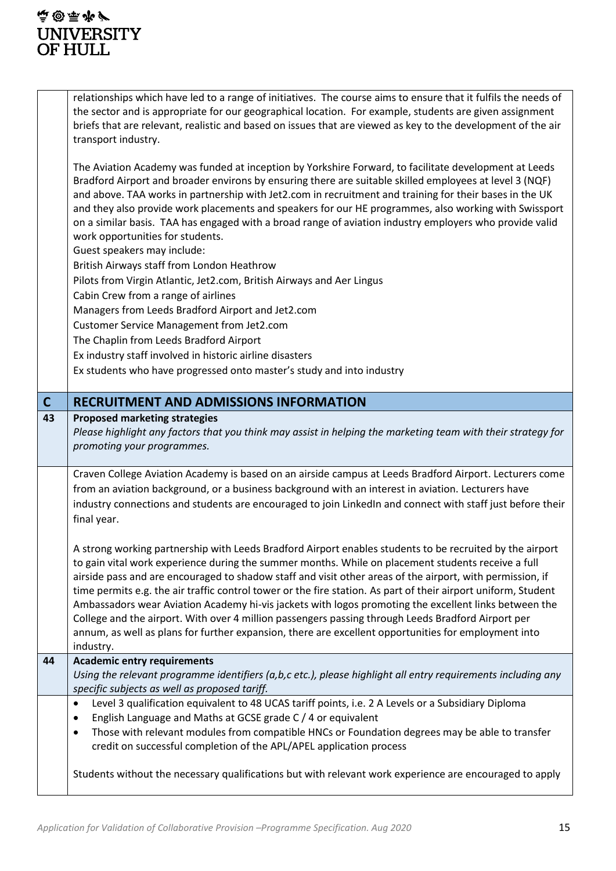|                         | relationships which have led to a range of initiatives. The course aims to ensure that it fulfils the needs of<br>the sector and is appropriate for our geographical location. For example, students are given assignment<br>briefs that are relevant, realistic and based on issues that are viewed as key to the development of the air<br>transport industry.                                                                                                                                                                                                                                                                                                                                                                                                                  |
|-------------------------|-----------------------------------------------------------------------------------------------------------------------------------------------------------------------------------------------------------------------------------------------------------------------------------------------------------------------------------------------------------------------------------------------------------------------------------------------------------------------------------------------------------------------------------------------------------------------------------------------------------------------------------------------------------------------------------------------------------------------------------------------------------------------------------|
|                         | The Aviation Academy was funded at inception by Yorkshire Forward, to facilitate development at Leeds<br>Bradford Airport and broader environs by ensuring there are suitable skilled employees at level 3 (NQF)<br>and above. TAA works in partnership with Jet2.com in recruitment and training for their bases in the UK<br>and they also provide work placements and speakers for our HE programmes, also working with Swissport<br>on a similar basis. TAA has engaged with a broad range of aviation industry employers who provide valid<br>work opportunities for students.<br>Guest speakers may include:                                                                                                                                                                |
|                         | British Airways staff from London Heathrow                                                                                                                                                                                                                                                                                                                                                                                                                                                                                                                                                                                                                                                                                                                                        |
|                         | Pilots from Virgin Atlantic, Jet2.com, British Airways and Aer Lingus                                                                                                                                                                                                                                                                                                                                                                                                                                                                                                                                                                                                                                                                                                             |
|                         | Cabin Crew from a range of airlines<br>Managers from Leeds Bradford Airport and Jet2.com                                                                                                                                                                                                                                                                                                                                                                                                                                                                                                                                                                                                                                                                                          |
|                         | Customer Service Management from Jet2.com                                                                                                                                                                                                                                                                                                                                                                                                                                                                                                                                                                                                                                                                                                                                         |
|                         | The Chaplin from Leeds Bradford Airport                                                                                                                                                                                                                                                                                                                                                                                                                                                                                                                                                                                                                                                                                                                                           |
|                         | Ex industry staff involved in historic airline disasters                                                                                                                                                                                                                                                                                                                                                                                                                                                                                                                                                                                                                                                                                                                          |
|                         | Ex students who have progressed onto master's study and into industry                                                                                                                                                                                                                                                                                                                                                                                                                                                                                                                                                                                                                                                                                                             |
| $\overline{\mathsf{C}}$ | <b>RECRUITMENT AND ADMISSIONS INFORMATION</b>                                                                                                                                                                                                                                                                                                                                                                                                                                                                                                                                                                                                                                                                                                                                     |
| 43                      | <b>Proposed marketing strategies</b><br>Please highlight any factors that you think may assist in helping the marketing team with their strategy for<br>promoting your programmes.                                                                                                                                                                                                                                                                                                                                                                                                                                                                                                                                                                                                |
|                         |                                                                                                                                                                                                                                                                                                                                                                                                                                                                                                                                                                                                                                                                                                                                                                                   |
|                         | Craven College Aviation Academy is based on an airside campus at Leeds Bradford Airport. Lecturers come<br>from an aviation background, or a business background with an interest in aviation. Lecturers have<br>industry connections and students are encouraged to join LinkedIn and connect with staff just before their<br>final year.                                                                                                                                                                                                                                                                                                                                                                                                                                        |
|                         | A strong working partnership with Leeds Bradford Airport enables students to be recruited by the airport<br>to gain vital work experience during the summer months. While on placement students receive a full<br>airside pass and are encouraged to shadow staff and visit other areas of the airport, with permission, if<br>time permits e.g. the air traffic control tower or the fire station. As part of their airport uniform, Student<br>Ambassadors wear Aviation Academy hi-vis jackets with logos promoting the excellent links between the<br>College and the airport. With over 4 million passengers passing through Leeds Bradford Airport per<br>annum, as well as plans for further expansion, there are excellent opportunities for employment into<br>industry. |
| 44                      | <b>Academic entry requirements</b><br>Using the relevant programme identifiers (a,b,c etc.), please highlight all entry requirements including any<br>specific subjects as well as proposed tariff.                                                                                                                                                                                                                                                                                                                                                                                                                                                                                                                                                                               |
|                         | Level 3 qualification equivalent to 48 UCAS tariff points, i.e. 2 A Levels or a Subsidiary Diploma<br>$\bullet$<br>English Language and Maths at GCSE grade C / 4 or equivalent<br>$\bullet$<br>Those with relevant modules from compatible HNCs or Foundation degrees may be able to transfer<br>$\bullet$<br>credit on successful completion of the APL/APEL application process                                                                                                                                                                                                                                                                                                                                                                                                |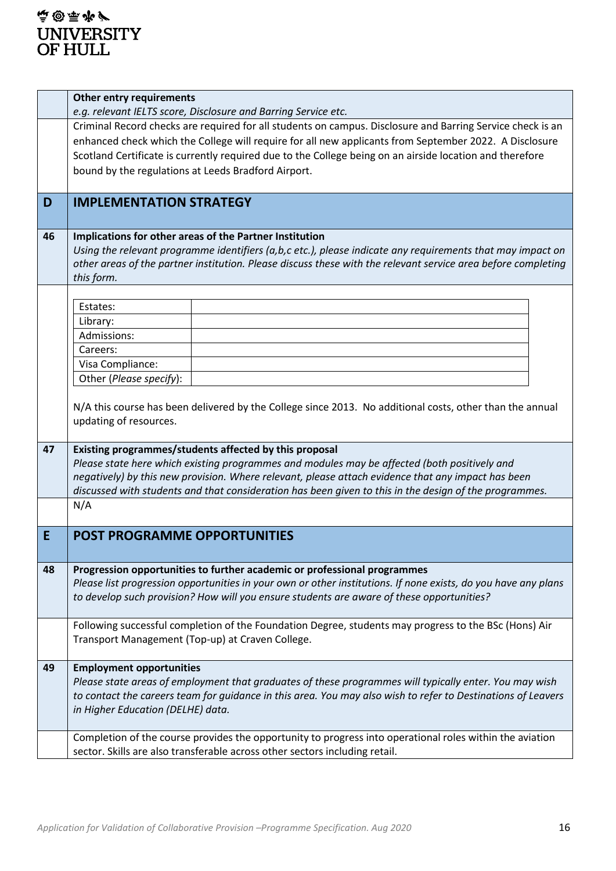|    | <b>Other entry requirements</b>                                                                                                    |  |  |  |  |  |  |  |  |  |  |  |
|----|------------------------------------------------------------------------------------------------------------------------------------|--|--|--|--|--|--|--|--|--|--|--|
|    | e.g. relevant IELTS score, Disclosure and Barring Service etc.                                                                     |  |  |  |  |  |  |  |  |  |  |  |
|    | Criminal Record checks are required for all students on campus. Disclosure and Barring Service check is an                         |  |  |  |  |  |  |  |  |  |  |  |
|    | enhanced check which the College will require for all new applicants from September 2022. A Disclosure                             |  |  |  |  |  |  |  |  |  |  |  |
|    | Scotland Certificate is currently required due to the College being on an airside location and therefore                           |  |  |  |  |  |  |  |  |  |  |  |
|    | bound by the regulations at Leeds Bradford Airport.                                                                                |  |  |  |  |  |  |  |  |  |  |  |
|    |                                                                                                                                    |  |  |  |  |  |  |  |  |  |  |  |
| D  | <b>IMPLEMENTATION STRATEGY</b>                                                                                                     |  |  |  |  |  |  |  |  |  |  |  |
|    |                                                                                                                                    |  |  |  |  |  |  |  |  |  |  |  |
|    |                                                                                                                                    |  |  |  |  |  |  |  |  |  |  |  |
| 46 | Implications for other areas of the Partner Institution                                                                            |  |  |  |  |  |  |  |  |  |  |  |
|    | Using the relevant programme identifiers ( $a,b,c$ etc.), please indicate any requirements that may impact on                      |  |  |  |  |  |  |  |  |  |  |  |
|    | other areas of the partner institution. Please discuss these with the relevant service area before completing                      |  |  |  |  |  |  |  |  |  |  |  |
|    | this form.                                                                                                                         |  |  |  |  |  |  |  |  |  |  |  |
|    |                                                                                                                                    |  |  |  |  |  |  |  |  |  |  |  |
|    | Estates:                                                                                                                           |  |  |  |  |  |  |  |  |  |  |  |
|    | Library:                                                                                                                           |  |  |  |  |  |  |  |  |  |  |  |
|    | Admissions:                                                                                                                        |  |  |  |  |  |  |  |  |  |  |  |
|    | Careers:                                                                                                                           |  |  |  |  |  |  |  |  |  |  |  |
|    | Visa Compliance:                                                                                                                   |  |  |  |  |  |  |  |  |  |  |  |
|    | Other (Please specify):                                                                                                            |  |  |  |  |  |  |  |  |  |  |  |
|    | N/A this course has been delivered by the College since 2013. No additional costs, other than the annual<br>updating of resources. |  |  |  |  |  |  |  |  |  |  |  |
| 47 | Existing programmes/students affected by this proposal                                                                             |  |  |  |  |  |  |  |  |  |  |  |
|    | Please state here which existing programmes and modules may be affected (both positively and                                       |  |  |  |  |  |  |  |  |  |  |  |
|    | negatively) by this new provision. Where relevant, please attach evidence that any impact has been                                 |  |  |  |  |  |  |  |  |  |  |  |
|    | discussed with students and that consideration has been given to this in the design of the programmes.                             |  |  |  |  |  |  |  |  |  |  |  |
|    | N/A                                                                                                                                |  |  |  |  |  |  |  |  |  |  |  |
|    |                                                                                                                                    |  |  |  |  |  |  |  |  |  |  |  |
| E  | <b>POST PROGRAMME OPPORTUNITIES</b>                                                                                                |  |  |  |  |  |  |  |  |  |  |  |
|    |                                                                                                                                    |  |  |  |  |  |  |  |  |  |  |  |
| 48 | Progression opportunities to further academic or professional programmes                                                           |  |  |  |  |  |  |  |  |  |  |  |
|    | Please list progression opportunities in your own or other institutions. If none exists, do you have any plans                     |  |  |  |  |  |  |  |  |  |  |  |
|    | to develop such provision? How will you ensure students are aware of these opportunities?                                          |  |  |  |  |  |  |  |  |  |  |  |
|    |                                                                                                                                    |  |  |  |  |  |  |  |  |  |  |  |
|    | Following successful completion of the Foundation Degree, students may progress to the BSc (Hons) Air                              |  |  |  |  |  |  |  |  |  |  |  |
|    | Transport Management (Top-up) at Craven College.                                                                                   |  |  |  |  |  |  |  |  |  |  |  |
|    |                                                                                                                                    |  |  |  |  |  |  |  |  |  |  |  |
| 49 | <b>Employment opportunities</b>                                                                                                    |  |  |  |  |  |  |  |  |  |  |  |
|    | Please state areas of employment that graduates of these programmes will typically enter. You may wish                             |  |  |  |  |  |  |  |  |  |  |  |
|    | to contact the careers team for guidance in this area. You may also wish to refer to Destinations of Leavers                       |  |  |  |  |  |  |  |  |  |  |  |
|    | in Higher Education (DELHE) data.                                                                                                  |  |  |  |  |  |  |  |  |  |  |  |
|    |                                                                                                                                    |  |  |  |  |  |  |  |  |  |  |  |
|    | Completion of the course provides the opportunity to progress into operational roles within the aviation                           |  |  |  |  |  |  |  |  |  |  |  |
|    | sector. Skills are also transferable across other sectors including retail.                                                        |  |  |  |  |  |  |  |  |  |  |  |
|    |                                                                                                                                    |  |  |  |  |  |  |  |  |  |  |  |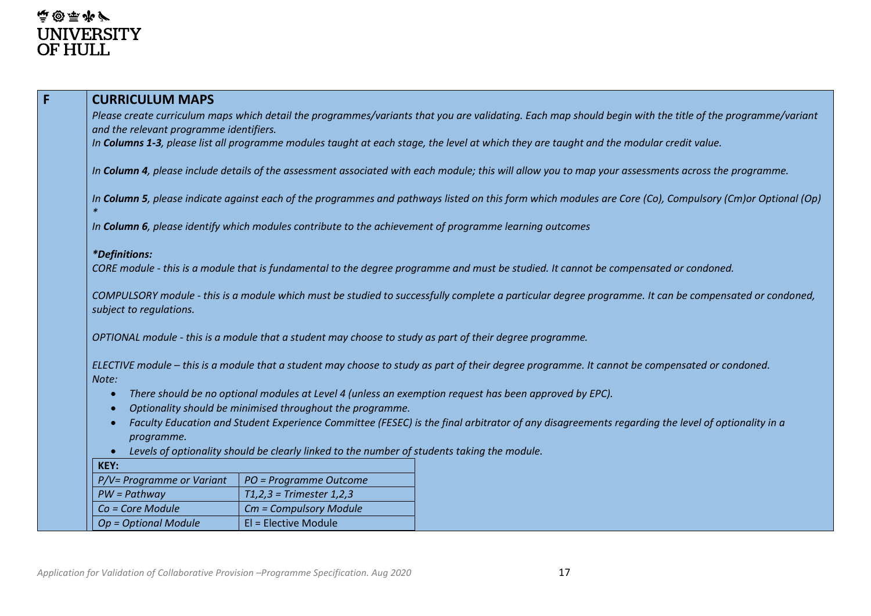| <b>CURRICULUM MAPS</b>                                                                                                                                                           |                                                                                             |  |  |  |  |  |  |  |  |  |  |
|----------------------------------------------------------------------------------------------------------------------------------------------------------------------------------|---------------------------------------------------------------------------------------------|--|--|--|--|--|--|--|--|--|--|
| Please create curriculum maps which detail the programmes/variants that you are validating. Each map should begin with the title of the programme/variant                        |                                                                                             |  |  |  |  |  |  |  |  |  |  |
| and the relevant programme identifiers.                                                                                                                                          |                                                                                             |  |  |  |  |  |  |  |  |  |  |
| In Columns 1-3, please list all programme modules taught at each stage, the level at which they are taught and the modular credit value.                                         |                                                                                             |  |  |  |  |  |  |  |  |  |  |
| In Column 4, please include details of the assessment associated with each module; this will allow you to map your assessments across the programme.                             |                                                                                             |  |  |  |  |  |  |  |  |  |  |
| In Column 5, please indicate against each of the programmes and pathways listed on this form which modules are Core (Co), Compulsory (Cm)or Optional (Op)                        |                                                                                             |  |  |  |  |  |  |  |  |  |  |
| In Column 6, please identify which modules contribute to the achievement of programme learning outcomes                                                                          |                                                                                             |  |  |  |  |  |  |  |  |  |  |
| <i>*Definitions:</i>                                                                                                                                                             |                                                                                             |  |  |  |  |  |  |  |  |  |  |
| CORE module - this is a module that is fundamental to the degree programme and must be studied. It cannot be compensated or condoned.                                            |                                                                                             |  |  |  |  |  |  |  |  |  |  |
| COMPULSORY module - this is a module which must be studied to successfully complete a particular degree programme. It can be compensated or condoned,<br>subject to regulations. |                                                                                             |  |  |  |  |  |  |  |  |  |  |
| OPTIONAL module - this is a module that a student may choose to study as part of their degree programme.                                                                         |                                                                                             |  |  |  |  |  |  |  |  |  |  |
| ELECTIVE module - this is a module that a student may choose to study as part of their degree programme. It cannot be compensated or condoned.<br>Note:                          |                                                                                             |  |  |  |  |  |  |  |  |  |  |
| There should be no optional modules at Level 4 (unless an exemption request has been approved by EPC).<br>$\bullet$                                                              |                                                                                             |  |  |  |  |  |  |  |  |  |  |
| Optionality should be minimised throughout the programme.<br>$\bullet$                                                                                                           |                                                                                             |  |  |  |  |  |  |  |  |  |  |
| Faculty Education and Student Experience Committee (FESEC) is the final arbitrator of any disagreements regarding the level of optionality in a<br>$\bullet$<br>programme.       |                                                                                             |  |  |  |  |  |  |  |  |  |  |
|                                                                                                                                                                                  | Levels of optionality should be clearly linked to the number of students taking the module. |  |  |  |  |  |  |  |  |  |  |
| KEY:                                                                                                                                                                             |                                                                                             |  |  |  |  |  |  |  |  |  |  |
| P/V= Programme or Variant                                                                                                                                                        | PO = Programme Outcome                                                                      |  |  |  |  |  |  |  |  |  |  |
| $PW = Pathway$                                                                                                                                                                   | $T1,2,3$ = Trimester 1,2,3                                                                  |  |  |  |  |  |  |  |  |  |  |
| Co = Core Module                                                                                                                                                                 | Cm = Compulsory Module                                                                      |  |  |  |  |  |  |  |  |  |  |
| Op = Optional Module                                                                                                                                                             | El = Elective Module                                                                        |  |  |  |  |  |  |  |  |  |  |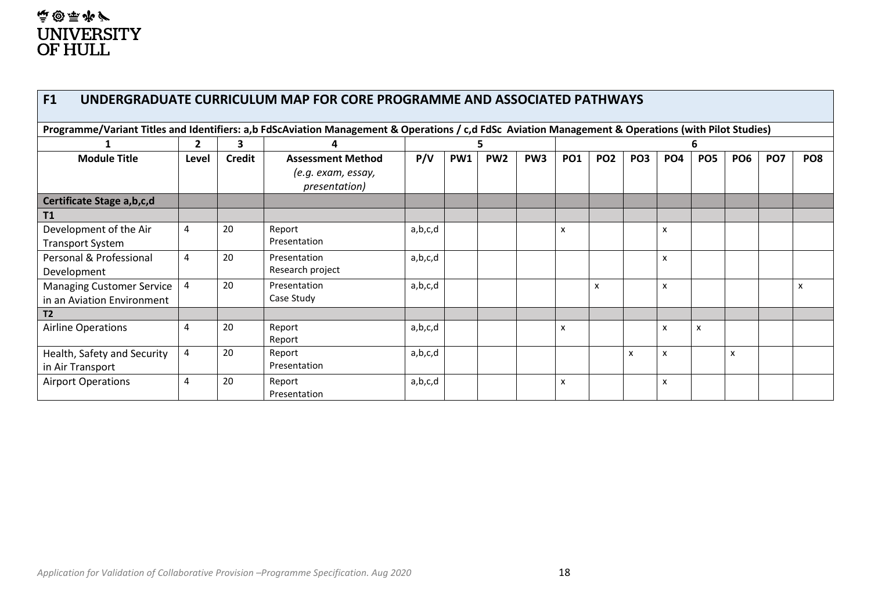## **A&E@** UNIVERSITY<br>OF HULL

| F1<br>UNDERGRADUATE CURRICULUM MAP FOR CORE PROGRAMME AND ASSOCIATED PATHWAYS                                                                       |                   |               |                                     |         |     |                 |                 |            |                 |                 |                 |                 |                 |                 |                           |
|-----------------------------------------------------------------------------------------------------------------------------------------------------|-------------------|---------------|-------------------------------------|---------|-----|-----------------|-----------------|------------|-----------------|-----------------|-----------------|-----------------|-----------------|-----------------|---------------------------|
| Programme/Variant Titles and Identifiers: a,b FdScAviation Management & Operations / c,d FdSc Aviation Management & Operations (with Pilot Studies) |                   |               |                                     |         |     |                 |                 |            |                 |                 |                 |                 |                 |                 |                           |
|                                                                                                                                                     | 3<br>$\mathbf{2}$ |               |                                     |         |     |                 |                 |            |                 |                 |                 |                 |                 |                 |                           |
| <b>Module Title</b>                                                                                                                                 | Level             | <b>Credit</b> | <b>Assessment Method</b>            | P/V     | PW1 | PW <sub>2</sub> | PW <sub>3</sub> | <b>PO1</b> | PO <sub>2</sub> | PO <sub>3</sub> | PO <sub>4</sub> | PO <sub>5</sub> | PO <sub>6</sub> | PO <sub>7</sub> | PO <sub>8</sub>           |
|                                                                                                                                                     |                   |               | (e.g. exam, essay,<br>presentation) |         |     |                 |                 |            |                 |                 |                 |                 |                 |                 |                           |
| Certificate Stage a, b, c, d                                                                                                                        |                   |               |                                     |         |     |                 |                 |            |                 |                 |                 |                 |                 |                 |                           |
| T1                                                                                                                                                  |                   |               |                                     |         |     |                 |                 |            |                 |                 |                 |                 |                 |                 |                           |
| Development of the Air                                                                                                                              | 4                 | 20            | Report                              | a,b,c,d |     |                 |                 | X          |                 |                 | x               |                 |                 |                 |                           |
| <b>Transport System</b>                                                                                                                             |                   |               | Presentation                        |         |     |                 |                 |            |                 |                 |                 |                 |                 |                 |                           |
| Personal & Professional                                                                                                                             | 4                 | 20            | Presentation                        | a,b,c,d |     |                 |                 |            |                 |                 | x               |                 |                 |                 |                           |
| Development                                                                                                                                         |                   |               | Research project                    |         |     |                 |                 |            |                 |                 |                 |                 |                 |                 |                           |
| <b>Managing Customer Service</b>                                                                                                                    | 4                 | 20            | Presentation                        | a,b,c,d |     |                 |                 |            | x               |                 | x               |                 |                 |                 | $\boldsymbol{\mathsf{x}}$ |
| in an Aviation Environment                                                                                                                          |                   |               | Case Study                          |         |     |                 |                 |            |                 |                 |                 |                 |                 |                 |                           |
| T <sub>2</sub>                                                                                                                                      |                   |               |                                     |         |     |                 |                 |            |                 |                 |                 |                 |                 |                 |                           |
| <b>Airline Operations</b>                                                                                                                           | 4                 | 20            | Report                              | a,b,c,d |     |                 |                 | X          |                 |                 | x               | X               |                 |                 |                           |
|                                                                                                                                                     |                   |               | Report                              |         |     |                 |                 |            |                 |                 |                 |                 |                 |                 |                           |
| Health, Safety and Security                                                                                                                         | 4                 | 20            | Report                              | a,b,c,d |     |                 |                 |            |                 | X               | x               |                 | x               |                 |                           |
| in Air Transport                                                                                                                                    |                   |               | Presentation                        |         |     |                 |                 |            |                 |                 |                 |                 |                 |                 |                           |
| <b>Airport Operations</b>                                                                                                                           | 4                 | 20            | Report                              | a,b,c,d |     |                 |                 | x          |                 |                 | x               |                 |                 |                 |                           |
|                                                                                                                                                     |                   |               | Presentation                        |         |     |                 |                 |            |                 |                 |                 |                 |                 |                 |                           |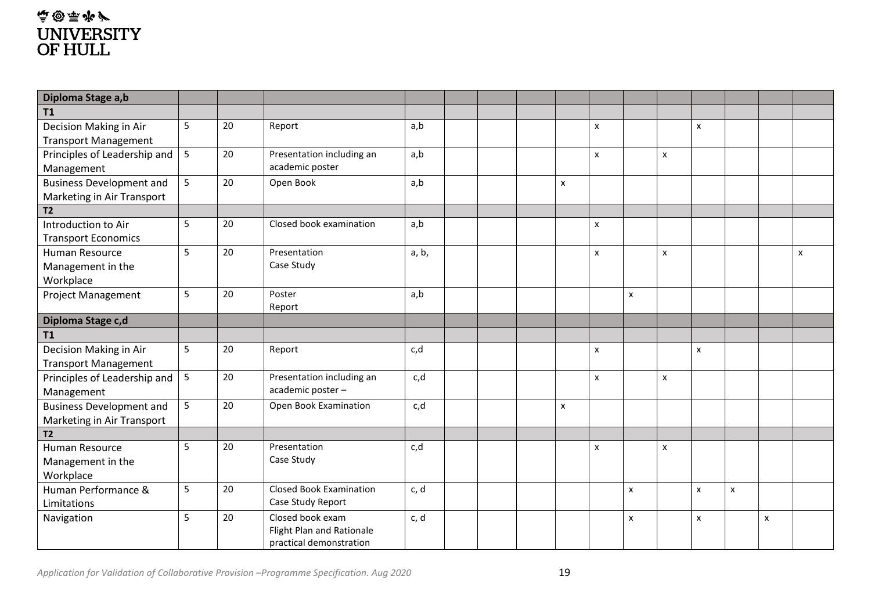### 真@原来/ UNIVERSITY<br>OF HULL

| Diploma Stage a,b                                             |   |    |                                                                          |       |  |                |                           |                           |   |                |                |   |   |
|---------------------------------------------------------------|---|----|--------------------------------------------------------------------------|-------|--|----------------|---------------------------|---------------------------|---|----------------|----------------|---|---|
| T1                                                            |   |    |                                                                          |       |  |                |                           |                           |   |                |                |   |   |
| Decision Making in Air<br><b>Transport Management</b>         | 5 | 20 | Report                                                                   | a,b   |  |                | $\pmb{\mathsf{x}}$        |                           |   | X              |                |   |   |
| Principles of Leadership and<br>Management                    | 5 | 20 | Presentation including an<br>academic poster                             | a,b   |  |                | $\mathsf{x}$              |                           | X |                |                |   |   |
| <b>Business Development and</b><br>Marketing in Air Transport | 5 | 20 | Open Book                                                                | a,b   |  | $\pmb{\times}$ |                           |                           |   |                |                |   |   |
| <b>T2</b>                                                     |   |    |                                                                          |       |  |                |                           |                           |   |                |                |   |   |
| Introduction to Air<br><b>Transport Economics</b>             | 5 | 20 | Closed book examination                                                  | a,b   |  |                | $\pmb{\mathsf{x}}$        |                           |   |                |                |   |   |
| Human Resource<br>Management in the<br>Workplace              | 5 | 20 | Presentation<br>Case Study                                               | a, b, |  |                | $\pmb{\mathsf{x}}$        |                           | x |                |                |   | X |
| Project Management                                            | 5 | 20 | Poster<br>Report                                                         | a,b   |  |                |                           | X                         |   |                |                |   |   |
| Diploma Stage c,d                                             |   |    |                                                                          |       |  |                |                           |                           |   |                |                |   |   |
| <b>T1</b>                                                     |   |    |                                                                          |       |  |                |                           |                           |   |                |                |   |   |
| Decision Making in Air<br><b>Transport Management</b>         | 5 | 20 | Report                                                                   | c,d   |  |                | $\pmb{\mathsf{x}}$        |                           |   | $\pmb{\times}$ |                |   |   |
| Principles of Leadership and<br>Management                    | 5 | 20 | Presentation including an<br>academic poster -                           | c,d   |  |                | $\boldsymbol{\mathsf{x}}$ |                           | X |                |                |   |   |
| <b>Business Development and</b><br>Marketing in Air Transport | 5 | 20 | Open Book Examination                                                    | c,d   |  | x              |                           |                           |   |                |                |   |   |
| <b>T2</b>                                                     |   |    |                                                                          |       |  |                |                           |                           |   |                |                |   |   |
| Human Resource<br>Management in the<br>Workplace              | 5 | 20 | Presentation<br>Case Study                                               | c,d   |  |                | $\mathsf{x}$              |                           | X |                |                |   |   |
| Human Performance &<br>Limitations                            | 5 | 20 | <b>Closed Book Examination</b><br>Case Study Report                      | c, d  |  |                |                           | $\pmb{\times}$            |   | $\pmb{\times}$ | $\pmb{\times}$ |   |   |
| Navigation                                                    | 5 | 20 | Closed book exam<br>Flight Plan and Rationale<br>practical demonstration | c, d  |  |                |                           | $\boldsymbol{\mathsf{x}}$ |   | X              |                | X |   |